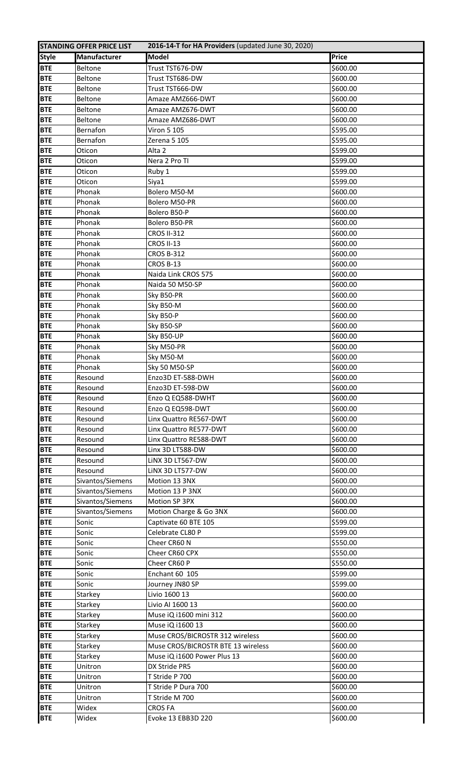|              | <b>STANDING OFFER PRICE LIST</b> | 2016-14-T for HA Providers (updated June 30, 2020) |              |
|--------------|----------------------------------|----------------------------------------------------|--------------|
| <b>Style</b> | <b>Manufacturer</b>              | <b>Model</b>                                       | <b>Price</b> |
| <b>BTE</b>   | <b>Beltone</b>                   | Trust TST676-DW                                    | \$600.00     |
| <b>BTE</b>   | Beltone                          | Trust TST686-DW                                    | \$600.00     |
| <b>BTE</b>   | <b>Beltone</b>                   | Trust TST666-DW                                    | \$600.00     |
| <b>BTE</b>   | <b>Beltone</b>                   | Amaze AMZ666-DWT                                   | \$600.00     |
| <b>BTE</b>   | <b>Beltone</b>                   | Amaze AMZ676-DWT                                   | \$600.00     |
| <b>BTE</b>   | <b>Beltone</b>                   | Amaze AMZ686-DWT                                   | \$600.00     |
| <b>BTE</b>   | Bernafon                         | Viron 5 105                                        | \$595.00     |
| <b>BTE</b>   | Bernafon                         | Zerena 5 105                                       | \$595.00     |
| <b>BTE</b>   | Oticon                           | Alta 2                                             | \$599.00     |
| <b>BTE</b>   | Oticon                           | Nera 2 Pro TI                                      | \$599.00     |
| <b>BTE</b>   | Oticon                           | Ruby 1                                             | \$599.00     |
| <b>BTE</b>   | Oticon                           | Siya1                                              | \$599.00     |
| <b>BTE</b>   | Phonak                           | Bolero M50-M                                       | \$600.00     |
| <b>BTE</b>   | Phonak                           | Bolero M50-PR                                      | \$600.00     |
| <b>BTE</b>   | Phonak                           | Bolero B50-P                                       | \$600.00     |
| <b>BTE</b>   | Phonak                           | Bolero B50-PR                                      | \$600.00     |
|              |                                  |                                                    |              |
| <b>BTE</b>   | Phonak                           | <b>CROS II-312</b>                                 | \$600.00     |
| <b>BTE</b>   | Phonak                           | <b>CROS II-13</b>                                  | \$600.00     |
| <b>BTE</b>   | Phonak                           | <b>CROS B-312</b>                                  | \$600.00     |
| <b>BTE</b>   | Phonak                           | CROS B-13                                          | \$600.00     |
| <b>BTE</b>   | Phonak                           | Naida Link CROS 575                                | \$600.00     |
| <b>BTE</b>   | Phonak                           | Naida 50 M50-SP                                    | \$600.00     |
| <b>BTE</b>   | Phonak                           | Sky B50-PR                                         | \$600.00     |
| <b>BTE</b>   | Phonak                           | Sky B50-M                                          | \$600.00     |
| <b>BTE</b>   | Phonak                           | Sky B50-P                                          | \$600.00     |
| <b>BTE</b>   | Phonak                           | Sky B50-SP                                         | \$600.00     |
| <b>BTE</b>   | Phonak                           | Sky B50-UP                                         | \$600.00     |
| <b>BTE</b>   | Phonak                           | Sky M50-PR                                         | \$600.00     |
| <b>BTE</b>   | Phonak                           | Sky M50-M                                          | \$600.00     |
| <b>BTE</b>   | Phonak                           | <b>Sky 50 M50-SP</b>                               | \$600.00     |
| <b>BTE</b>   | Resound                          | Enzo3D ET-588-DWH                                  | \$600.00     |
| <b>BTE</b>   | Resound                          | Enzo3D ET-598-DW                                   | \$600.00     |
| <b>BTE</b>   | Resound                          | Enzo Q EQ588-DWHT                                  | \$600.00     |
| <b>BTE</b>   | Resound                          | Enzo Q EQ598-DWT                                   | \$600.00     |
| <b>BTE</b>   |                                  |                                                    |              |
|              | Resound                          | Linx Quattro RE567-DWT                             | \$600.00     |
| <b>BTE</b>   | Resound                          | Linx Quattro RE577-DWT                             | \$600.00     |
| <b>BTE</b>   | Resound                          | Linx Quattro RE588-DWT                             | \$600.00     |
| <b>BTE</b>   | Resound                          | Linx 3D LT588-DW                                   | \$600.00     |
| <b>BTE</b>   | Resound                          | LINX 3D LT567-DW                                   | \$600.00     |
| <b>BTE</b>   | Resound                          | LINX 3D LT577-DW                                   | \$600.00     |
| <b>BTE</b>   | Sivantos/Siemens                 | Motion 13 3NX                                      | \$600.00     |
| <b>BTE</b>   | Sivantos/Siemens                 | Motion 13 P 3NX                                    | \$600.00     |
| <b>BTE</b>   | Sivantos/Siemens                 | Motion SP 3PX                                      | \$600.00     |
| <b>BTE</b>   | Sivantos/Siemens                 | Motion Charge & Go 3NX                             | \$600.00     |
| <b>BTE</b>   | Sonic                            | Captivate 60 BTE 105                               | \$599.00     |
| <b>BTE</b>   | Sonic                            | Celebrate CL80 P                                   | \$599.00     |
| <b>BTE</b>   | Sonic                            | Cheer CR60 N                                       | \$550.00     |
| <b>BTE</b>   | Sonic                            | Cheer CR60 CPX                                     | \$550.00     |
| <b>BTE</b>   | Sonic                            | Cheer CR60 P                                       | \$550.00     |
| <b>BTE</b>   | Sonic                            | Enchant 60 105                                     | \$599.00     |
| <b>BTE</b>   | Sonic                            | Journey JN80 SP                                    | \$599.00     |
| <b>BTE</b>   | Starkey                          | Livio 1600 13                                      | \$600.00     |
| <b>BTE</b>   | Starkey                          | Livio AI 1600 13                                   | \$600.00     |
| <b>BTE</b>   | Starkey                          | Muse iQ i1600 mini 312                             | \$600.00     |
| <b>BTE</b>   | Starkey                          | Muse iQ i1600 13                                   | \$600.00     |
| <b>BTE</b>   | Starkey                          | Muse CROS/BICROSTR 312 wireless                    | \$600.00     |
| <b>BTE</b>   | Starkey                          | Muse CROS/BICROSTR BTE 13 wireless                 | \$600.00     |
|              |                                  |                                                    |              |
| <b>BTE</b>   | Starkey                          | Muse iQ i1600 Power Plus 13                        | \$600.00     |
| <b>BTE</b>   | Unitron                          | DX Stride PR5                                      | \$600.00     |
| <b>BTE</b>   | Unitron                          | T Stride P 700                                     | \$600.00     |
| <b>BTE</b>   | Unitron                          | T Stride P Dura 700                                | \$600.00     |
| <b>BTE</b>   | Unitron                          | T Stride M 700                                     | \$600.00     |
| <b>BTE</b>   | Widex                            | <b>CROS FA</b>                                     | \$600.00     |
| <b>BTE</b>   | Widex                            | Evoke 13 EBB3D 220                                 | \$600.00     |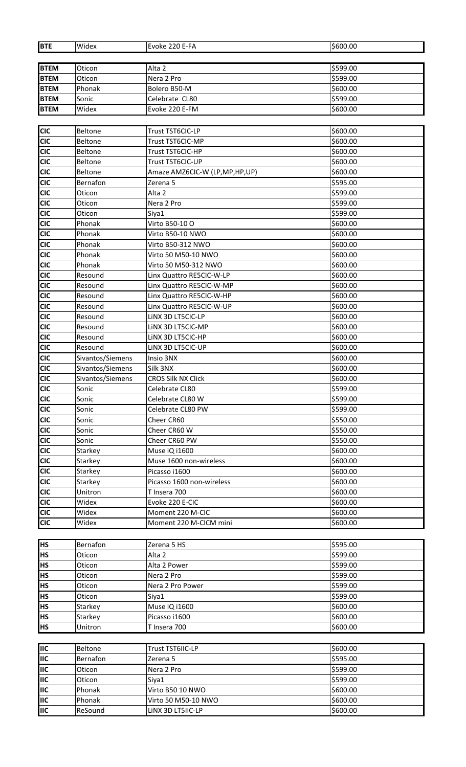| <b>BTE</b>  | Widex            | Evoke 220 E-FA                | \$600.00 |
|-------------|------------------|-------------------------------|----------|
|             |                  |                               |          |
| <b>BTEM</b> | Oticon           | Alta <sub>2</sub>             | \$599.00 |
| <b>BTEM</b> | Oticon           | Nera 2 Pro                    | \$599.00 |
| <b>BTEM</b> | Phonak           | Bolero B50-M                  | \$600.00 |
| <b>BTEM</b> | Sonic            | Celebrate CL80                | \$599.00 |
| <b>BTEM</b> | Widex            | Evoke 220 E-FM                | \$600.00 |
|             |                  |                               |          |
| <b>CIC</b>  | <b>Beltone</b>   | Trust TST6CIC-LP              | \$600.00 |
| <b>CIC</b>  | Beltone          | Trust TST6CIC-MP              | \$600.00 |
| <b>CIC</b>  | <b>Beltone</b>   | Trust TST6CIC-HP              | \$600.00 |
| <b>CIC</b>  | Beltone          | Trust TST6CIC-UP              | \$600.00 |
| <b>CIC</b>  | <b>Beltone</b>   | Amaze AMZ6CIC-W (LP,MP,HP,UP) | \$600.00 |
| <b>CIC</b>  | Bernafon         | Zerena 5                      | \$595.00 |
| <b>CIC</b>  | Oticon           | Alta 2                        | \$599.00 |
| <b>CIC</b>  | Oticon           | Nera 2 Pro                    | \$599.00 |
| <b>CIC</b>  | Oticon           | Siya1                         | \$599.00 |
| <b>CIC</b>  | Phonak           | Virto B50-10 O                | \$600.00 |
| <b>CIC</b>  | Phonak           | Virto B50-10 NWO              | \$600.00 |
| <b>CIC</b>  | Phonak           | Virto B50-312 NWO             | \$600.00 |
| <b>CIC</b>  | Phonak           | Virto 50 M50-10 NWO           | \$600.00 |
| <b>CIC</b>  | Phonak           | Virto 50 M50-312 NWO          | \$600.00 |
| <b>CIC</b>  | Resound          | Linx Quattro RE5CIC-W-LP      | \$600.00 |
| <b>CIC</b>  | Resound          | Linx Quattro RE5CIC-W-MP      | \$600.00 |
|             |                  |                               |          |
| <b>CIC</b>  | Resound          | Linx Quattro RE5CIC-W-HP      | \$600.00 |
| <b>CIC</b>  | Resound          | Linx Quattro RE5CIC-W-UP      | \$600.00 |
| <b>CIC</b>  | Resound          | LINX 3D LT5CIC-LP             | \$600.00 |
| <b>CIC</b>  | Resound          | LINX 3D LT5CIC-MP             | \$600.00 |
| <b>CIC</b>  | Resound          | LINX 3D LT5CIC-HP             | \$600.00 |
| <b>CIC</b>  | Resound          | LINX 3D LT5CIC-UP             | \$600.00 |
| <b>CIC</b>  | Sivantos/Siemens | Insio 3NX                     | \$600.00 |
| <b>CIC</b>  | Sivantos/Siemens | Silk 3NX                      | \$600.00 |
| <b>CIC</b>  | Sivantos/Siemens | <b>CROS Silk NX Click</b>     | \$600.00 |
| <b>CIC</b>  | Sonic            | Celebrate CL80                | \$599.00 |
| <b>CIC</b>  | Sonic            | Celebrate CL80 W              | \$599.00 |
| <b>CIC</b>  | Sonic            | Celebrate CL80 PW             | \$599.00 |
| <b>CIC</b>  | Sonic            | Cheer CR60                    | \$550.00 |
| <b>CIC</b>  | Sonic            | Cheer CR60 W                  | \$550.00 |
| <b>CIC</b>  | Sonic            | Cheer CR60 PW                 | \$550.00 |
| <b>CIC</b>  | Starkey          | Muse iQ i1600                 | \$600.00 |
| <b>CIC</b>  | Starkey          | Muse 1600 non-wireless        | \$600.00 |
| <b>CIC</b>  | Starkey          | Picasso i1600                 | \$600.00 |
| <b>CIC</b>  | Starkey          | Picasso 1600 non-wireless     | \$600.00 |
| <b>CIC</b>  | Unitron          | T Insera 700                  | \$600.00 |
| <b>CIC</b>  | Widex            | Evoke 220 E-CIC               | \$600.00 |
| <b>CIC</b>  | Widex            | Moment 220 M-CIC              | \$600.00 |
| <b>CIC</b>  | Widex            | Moment 220 M-CICM mini        | \$600.00 |
|             |                  |                               |          |
| <b>HS</b>   | Bernafon         | Zerena 5 HS                   | \$595.00 |
| <b>HS</b>   | Oticon           | Alta <sub>2</sub>             | \$599.00 |
| <b>HS</b>   | Oticon           | Alta 2 Power                  | \$599.00 |
| <b>HS</b>   | Oticon           | Nera 2 Pro                    | \$599.00 |
| <b>HS</b>   | Oticon           | Nera 2 Pro Power              | \$599.00 |
| <b>HS</b>   | Oticon           | Siya1                         | \$599.00 |
| <b>HS</b>   | Starkey          | Muse iQ i1600                 | \$600.00 |
| <b>HS</b>   | Starkey          | Picasso i1600                 | \$600.00 |
| <b>HS</b>   | Unitron          | T Insera 700                  | \$600.00 |
|             |                  |                               |          |
| <b>IIC</b>  | <b>Beltone</b>   | Trust TST6IIC-LP              | \$600.00 |
| <b>IIC</b>  | Bernafon         | Zerena 5                      | \$595.00 |
| <b>IIC</b>  | Oticon           | Nera 2 Pro                    | \$599.00 |
| <b>IIC</b>  | Oticon           | Siya1                         | \$599.00 |
| <b>IIC</b>  | Phonak           | Virto B50 10 NWO              | \$600.00 |
| <b>IIC</b>  | Phonak           | Virto 50 M50-10 NWO           | \$600.00 |
| <b>IIC</b>  | ReSound          | LINX 3D LT5IIC-LP             | \$600.00 |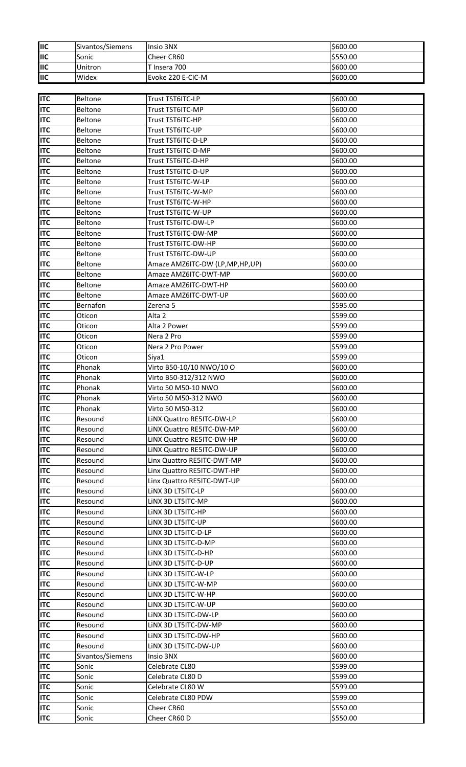| <b>I</b> lic              | Sivantos/Siemens | Insio 3NX                      | \$600.00 |
|---------------------------|------------------|--------------------------------|----------|
| <b>IIIC</b>               | Sonic            | Cheer CR60                     | \$550.00 |
| <b>I</b> IIC              | Unitron          | T Insera 700                   | \$600.00 |
| $\overline{\mathsf{IIC}}$ | Widex            | Evoke 220 E-CIC-M              | \$600.00 |
|                           |                  |                                |          |
| <b>I</b> ITC              | Beltone          | Trust TST6ITC-LP               | \$600.00 |
| <b>ITC</b>                | <b>Beltone</b>   | Trust TST6ITC-MP               | \$600.00 |
| <b>ITC</b>                | <b>Beltone</b>   | Trust TST6ITC-HP               | \$600.00 |
| <b>ITC</b>                | <b>Beltone</b>   | Trust TST6ITC-UP               | \$600.00 |
| <b>ITC</b>                |                  | Trust TST6ITC-D-LP             | \$600.00 |
| <b>ITC</b>                | Beltone          |                                |          |
|                           | Beltone          | Trust TST6ITC-D-MP             | \$600.00 |
| <b>ITC</b>                | Beltone          | Trust TST6ITC-D-HP             | \$600.00 |
| <b>ITC</b>                | Beltone          | Trust TST6ITC-D-UP             | \$600.00 |
| <b>ITC</b>                | Beltone          | Trust TST6ITC-W-LP             | \$600.00 |
| <b>ITC</b>                | <b>Beltone</b>   | Trust TST6ITC-W-MP             | \$600.00 |
| <b>ITC</b>                | <b>Beltone</b>   | Trust TST6ITC-W-HP             | \$600.00 |
| <b>ITC</b>                | <b>Beltone</b>   | Trust TST6ITC-W-UP             | \$600.00 |
| <b>ITC</b>                | Beltone          | Trust TST6ITC-DW-LP            | \$600.00 |
| <b>ITC</b>                | <b>Beltone</b>   | Trust TST6ITC-DW-MP            | \$600.00 |
| <b>ITC</b>                | Beltone          | Trust TST6ITC-DW-HP            | \$600.00 |
| <b>ITC</b>                | Beltone          | Trust TST6ITC-DW-UP            | \$600.00 |
| <b>ITC</b>                | <b>Beltone</b>   | Amaze AMZ6ITC-DW (LP,MP,HP,UP) | \$600.00 |
| <b>ITC</b>                | <b>Beltone</b>   | Amaze AMZ6ITC-DWT-MP           | \$600.00 |
| <b>ITC</b>                | Beltone          | Amaze AMZ6ITC-DWT-HP           | \$600.00 |
| <b>ITC</b>                | Beltone          | Amaze AMZ6ITC-DWT-UP           | \$600.00 |
| <b>ITC</b>                | Bernafon         | Zerena 5                       | \$595.00 |
| <b>ITC</b>                | Oticon           | Alta 2                         | \$599.00 |
| <b>ITC</b>                | Oticon           | Alta 2 Power                   | \$599.00 |
| <b>I</b> ITC              | Oticon           | Nera 2 Pro                     | \$599.00 |
| <b>ITC</b>                | Oticon           | Nera 2 Pro Power               | \$599.00 |
| <b>ITC</b>                | Oticon           | Siya1                          | \$599.00 |
| <b>ITC</b>                | Phonak           | Virto B50-10/10 NWO/10 O       | \$600.00 |
| <b>ITC</b>                | Phonak           | Virto B50-312/312 NWO          | \$600.00 |
| <b>ITC</b>                | Phonak           | Virto 50 M50-10 NWO            | \$600.00 |
| <b>ITC</b>                | Phonak           | Virto 50 M50-312 NWO           | \$600.00 |
| <b>I</b> ITC              | Phonak           | Virto 50 M50-312               | \$600.00 |
| <b>ITC</b>                | Resound          | LINX Quattro RE5ITC-DW-LP      | \$600.00 |
| <b>ITC</b>                | Resound          | LINX Quattro RE5ITC-DW-MP      | \$600.00 |
| <b>ITC</b>                | Resound          | LINX Quattro RE5ITC-DW-HP      | \$600.00 |
| <b>I</b> ITC              | Resound          | LINX Quattro RE5ITC-DW-UP      | \$600.00 |
| <b>ITC</b>                | Resound          | Linx Quattro RE5ITC-DWT-MP     | \$600.00 |
| <b>ITC</b>                | Resound          | Linx Quattro RE5ITC-DWT-HP     | \$600.00 |
| <b>ITC</b>                | Resound          | Linx Quattro RE5ITC-DWT-UP     | \$600.00 |
| <b>ITC</b>                | Resound          | LINX 3D LT5ITC-LP              | \$600.00 |
| <b>ITC</b>                | Resound          | LINX 3D LT5ITC-MP              | \$600.00 |
| <b>ITC</b>                | Resound          | LINX 3D LT5ITC-HP              | \$600.00 |
| <b>I</b> ITC              | Resound          | LINX 3D LT5ITC-UP              | \$600.00 |
| <b>ITC</b>                | Resound          | LINX 3D LT5ITC-D-LP            | \$600.00 |
| <b>ITC</b>                | Resound          | LINX 3D LT5ITC-D-MP            | \$600.00 |
| <b>ITC</b>                | Resound          | LINX 3D LT5ITC-D-HP            | \$600.00 |
| <b>ITC</b>                | Resound          | LINX 3D LT5ITC-D-UP            | \$600.00 |
| <b>ITC</b>                | Resound          | LINX 3D LT5ITC-W-LP            | \$600.00 |
| <b>ITC</b>                | Resound          | LINX 3D LT5ITC-W-MP            | \$600.00 |
| <b>ITC</b>                | Resound          | LINX 3D LT5ITC-W-HP            | \$600.00 |
| <b>ITC</b>                | Resound          | LINX 3D LT5ITC-W-UP            | \$600.00 |
| <b>ITC</b>                | Resound          | LINX 3D LT5ITC-DW-LP           | \$600.00 |
| <b>ITC</b>                | Resound          | LINX 3D LT5ITC-DW-MP           | \$600.00 |
| <b>ITC</b>                | Resound          | LINX 3D LT5ITC-DW-HP           | \$600.00 |
| <b>ITC</b>                | Resound          | LINX 3D LT5ITC-DW-UP           | \$600.00 |
| <b>I</b> ITC              | Sivantos/Siemens | Insio 3NX                      | \$600.00 |
| <b>ITC</b>                | Sonic            | Celebrate CL80                 | \$599.00 |
| <b>ITC</b>                | Sonic            | Celebrate CL80 D               | \$599.00 |
| <b>ITC</b>                | Sonic            | Celebrate CL80 W               | \$599.00 |
| <b>ITC</b>                | Sonic            | Celebrate CL80 PDW             | \$599.00 |
| <b>ITC</b>                | Sonic            | Cheer CR60                     | \$550.00 |
| <b>ITC</b>                | Sonic            | Cheer CR60 D                   | \$550.00 |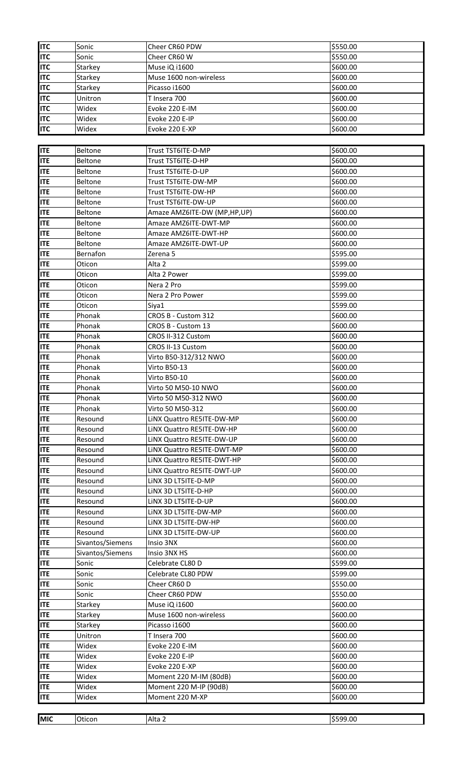| <b>ITC</b> | Sonic            | Cheer CR60 PDW              | \$550.00 |
|------------|------------------|-----------------------------|----------|
| <b>ITC</b> | Sonic            | Cheer CR60 W                | \$550.00 |
| <b>ITC</b> | Starkey          | Muse iQ i1600               | \$600.00 |
| <b>ITC</b> | Starkey          | Muse 1600 non-wireless      | \$600.00 |
| <b>ITC</b> | Starkey          | Picasso i1600               | \$600.00 |
| <b>ITC</b> | Unitron          | T Insera 700                | \$600.00 |
| <b>ITC</b> | Widex            | Evoke 220 E-IM              | \$600.00 |
| <b>ITC</b> | Widex            | Evoke 220 E-IP              | \$600.00 |
| <b>ITC</b> | Widex            | Evoke 220 E-XP              | \$600.00 |
|            |                  |                             |          |
| <b>ITE</b> | <b>Beltone</b>   | Trust TST6ITE-D-MP          | \$600.00 |
| <b>ITE</b> | Beltone          | Trust TST6ITE-D-HP          | \$600.00 |
| <b>ITE</b> |                  | Trust TST6ITE-D-UP          | \$600.00 |
|            | Beltone          |                             |          |
| <b>ITE</b> | Beltone          | Trust TST6ITE-DW-MP         | \$600.00 |
| <b>ITE</b> | Beltone          | Trust TST6ITE-DW-HP         | \$600.00 |
| <b>ITE</b> | Beltone          | Trust TST6ITE-DW-UP         | \$600.00 |
| <b>ITE</b> | Beltone          | Amaze AMZ6ITE-DW (MP,HP,UP) | \$600.00 |
| <b>ITE</b> | Beltone          | Amaze AMZ6ITE-DWT-MP        | \$600.00 |
| <b>ITE</b> | Beltone          | Amaze AMZ6ITE-DWT-HP        | \$600.00 |
| <b>ITE</b> | Beltone          | Amaze AMZ6ITE-DWT-UP        | \$600.00 |
| <b>ITE</b> | Bernafon         | Zerena <sub>5</sub>         | \$595.00 |
| <b>ITE</b> | Oticon           | Alta 2                      | \$599.00 |
| <b>ITE</b> | Oticon           | Alta 2 Power                | \$599.00 |
| <b>ITE</b> | Oticon           | Nera 2 Pro                  | \$599.00 |
| <b>ITE</b> | Oticon           | Nera 2 Pro Power            | \$599.00 |
| <b>ITE</b> | Oticon           | Siya1                       | \$599.00 |
| <b>ITE</b> | Phonak           | CROS B - Custom 312         | \$600.00 |
| <b>ITE</b> | Phonak           | CROS B - Custom 13          | \$600.00 |
| <b>ITE</b> | Phonak           | CROS II-312 Custom          | \$600.00 |
| <b>ITE</b> | Phonak           | CROS II-13 Custom           | \$600.00 |
| <b>ITE</b> | Phonak           | Virto B50-312/312 NWO       | \$600.00 |
| <b>ITE</b> | Phonak           | Virto B50-13                | \$600.00 |
| <b>ITE</b> | Phonak           | <b>Virto B50-10</b>         | \$600.00 |
| <b>ITE</b> | Phonak           | Virto 50 M50-10 NWO         | \$600.00 |
| <b>ITE</b> | Phonak           | Virto 50 M50-312 NWO        | \$600.00 |
| <b>ITE</b> | Phonak           | Virto 50 M50-312            | \$600.00 |
| <b>ITE</b> | Resound          | LINX Quattro RE5ITE-DW-MP   | \$600.00 |
| <b>ITE</b> | Resound          | LINX Quattro RE5ITE-DW-HP   | \$600.00 |
| <b>ITE</b> | Resound          | LINX Quattro RE5ITE-DW-UP   | \$600.00 |
| <b>ITE</b> | Resound          | LINX Quattro RE5ITE-DWT-MP  | \$600.00 |
| <b>ITE</b> | Resound          | LINX Quattro RE5ITE-DWT-HP  | \$600.00 |
| <b>ITE</b> | Resound          | LINX Quattro RE5ITE-DWT-UP  | \$600.00 |
| <b>ITE</b> | Resound          | LINX 3D LT5ITE-D-MP         | \$600.00 |
| <b>ITE</b> | Resound          | LINX 3D LT5ITE-D-HP         | \$600.00 |
| <b>ITE</b> | Resound          | LINX 3D LT5ITE-D-UP         | \$600.00 |
| <b>ITE</b> | Resound          | LINX 3D LT5ITE-DW-MP        | \$600.00 |
| <b>ITE</b> | Resound          | LINX 3D LT5ITE-DW-HP        | \$600.00 |
| <b>ITE</b> | Resound          | LINX 3D LT5ITE-DW-UP        | \$600.00 |
| <b>ITE</b> | Sivantos/Siemens | Insio 3NX                   | \$600.00 |
| <b>ITE</b> | Sivantos/Siemens | Insio 3NX HS                | \$600.00 |
| <b>ITE</b> | Sonic            | Celebrate CL80 D            | \$599.00 |
| <b>ITE</b> | Sonic            | Celebrate CL80 PDW          | \$599.00 |
| <b>ITE</b> |                  |                             | \$550.00 |
|            | Sonic            | Cheer CR60 D                |          |
| <b>ITE</b> | Sonic            | Cheer CR60 PDW              | \$550.00 |
| <b>ITE</b> | Starkey          | Muse iQ i1600               | \$600.00 |
| <b>ITE</b> | Starkey          | Muse 1600 non-wireless      | \$600.00 |
| <b>ITE</b> | Starkey          | Picasso i1600               | \$600.00 |
| <b>ITE</b> | Unitron          | T Insera 700                | \$600.00 |
| <b>ITE</b> | Widex            | Evoke 220 E-IM              | \$600.00 |
| <b>ITE</b> | Widex            | Evoke 220 E-IP              | \$600.00 |
| <b>ITE</b> | Widex            | Evoke 220 E-XP              | \$600.00 |
| <b>ITE</b> | Widex            | Moment 220 M-IM (80dB)      | \$600.00 |
| <b>ITE</b> | Widex            | Moment 220 M-IP (90dB)      | \$600.00 |
| <b>ITE</b> | Widex            | Moment 220 M-XP             | \$600.00 |
|            |                  |                             |          |
| <b>MIC</b> | Oticon           | Alta 2                      | \$599.00 |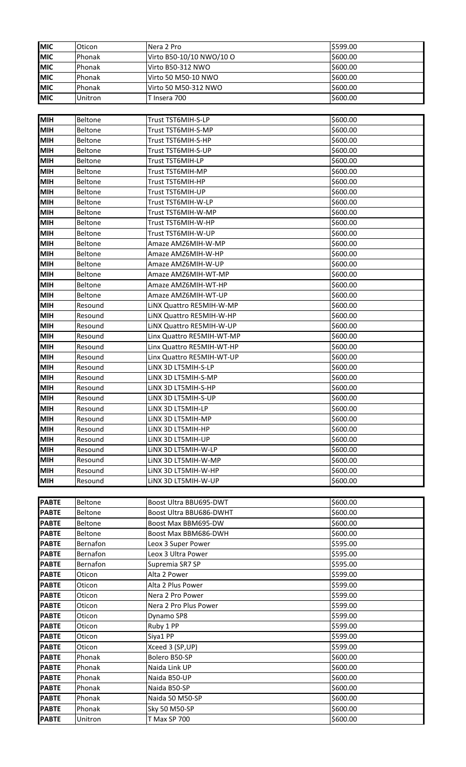| <b>MIC</b>   | Oticon         | Nera 2 Pro                | \$599.00 |
|--------------|----------------|---------------------------|----------|
| <b>MIC</b>   | Phonak         | Virto B50-10/10 NWO/10 O  | \$600.00 |
| <b>MIC</b>   | Phonak         | Virto B50-312 NWO         | \$600.00 |
| <b>MIC</b>   | Phonak         | Virto 50 M50-10 NWO       | \$600.00 |
| <b>MIC</b>   | Phonak         | Virto 50 M50-312 NWO      | \$600.00 |
| <b>MIC</b>   | Unitron        | T Insera 700              | \$600.00 |
|              |                |                           |          |
| <b>MIH</b>   | Beltone        | Trust TST6MIH-S-LP        | \$600.00 |
| <b>MIH</b>   | <b>Beltone</b> | Trust TST6MIH-S-MP        | \$600.00 |
| <b>MIH</b>   | <b>Beltone</b> | Trust TST6MIH-S-HP        | \$600.00 |
| <b>MIH</b>   | Beltone        | Trust TST6MIH-S-UP        | \$600.00 |
| <b>MIH</b>   | <b>Beltone</b> | Trust TST6MIH-LP          | \$600.00 |
| <b>MIH</b>   | <b>Beltone</b> | Trust TST6MIH-MP          | \$600.00 |
| <b>MIH</b>   | Beltone        | Trust TST6MIH-HP          | \$600.00 |
| <b>MIH</b>   | Beltone        | Trust TST6MIH-UP          | \$600.00 |
| <b>MIH</b>   | Beltone        | Trust TST6MIH-W-LP        | \$600.00 |
| <b>MIH</b>   | Beltone        | Trust TST6MIH-W-MP        | \$600.00 |
| MIH          | Beltone        | Trust TST6MIH-W-HP        | \$600.00 |
| <b>MIH</b>   | Beltone        | Trust TST6MIH-W-UP        | \$600.00 |
| MIH          | Beltone        | Amaze AMZ6MIH-W-MP        | \$600.00 |
| <b>MIH</b>   | <b>Beltone</b> | Amaze AMZ6MIH-W-HP        | \$600.00 |
| <b>MIH</b>   | Beltone        | Amaze AMZ6MIH-W-UP        | \$600.00 |
| <b>MIH</b>   | Beltone        | Amaze AMZ6MIH-WT-MP       | \$600.00 |
| <b>MIH</b>   | <b>Beltone</b> | Amaze AMZ6MIH-WT-HP       | \$600.00 |
| <b>MIH</b>   | <b>Beltone</b> | Amaze AMZ6MIH-WT-UP       | \$600.00 |
| MIH          | Resound        | LINX Quattro RE5MIH-W-MP  | \$600.00 |
| <b>MIH</b>   | Resound        | LINX Quattro RE5MIH-W-HP  | \$600.00 |
| <b>MIH</b>   | Resound        | LINX Quattro RE5MIH-W-UP  | \$600.00 |
| <b>MIH</b>   | Resound        | Linx Quattro RE5MIH-WT-MP | \$600.00 |
| <b>MIH</b>   | Resound        | Linx Quattro RE5MIH-WT-HP | \$600.00 |
| <b>MIH</b>   | Resound        | Linx Quattro RE5MIH-WT-UP | \$600.00 |
| <b>MIH</b>   | Resound        | LINX 3D LT5MIH-S-LP       | \$600.00 |
| <b>MIH</b>   | Resound        | LINX 3D LT5MIH-S-MP       | \$600.00 |
| <b>MIH</b>   | Resound        | LINX 3D LT5MIH-S-HP       | \$600.00 |
| <b>MIH</b>   | Resound        | LINX 3D LT5MIH-S-UP       | \$600.00 |
| <b>MIH</b>   | Resound        | LINX 3D LT5MIH-LP         | \$600.00 |
| <b>MIH</b>   | Resound        | LINX 3D LT5MIH-MP         | \$600.00 |
| <b>MIH</b>   | Resound        | LINX 3D LT5MIH-HP         | \$600.00 |
| <b>MIH</b>   | Resound        | LINX 3D LT5MIH-UP         | \$600.00 |
| <b>MIH</b>   | Resound        | LINX 3D LT5MIH-W-LP       | \$600.00 |
| <b>MIH</b>   | Resound        | LINX 3D LT5MIH-W-MP       | \$600.00 |
| <b>MIH</b>   | Resound        | LINX 3D LT5MIH-W-HP       | \$600.00 |
| <b>MIH</b>   | Resound        | LINX 3D LT5MIH-W-UP       | \$600.00 |
|              |                |                           |          |
| <b>PABTE</b> | Beltone        | Boost Ultra BBU695-DWT    | \$600.00 |
| <b>PABTE</b> | Beltone        | Boost Ultra BBU686-DWHT   | \$600.00 |
| <b>PABTE</b> | Beltone        | Boost Max BBM695-DW       | \$600.00 |
| <b>PABTE</b> | Beltone        | Boost Max BBM686-DWH      | \$600.00 |
| <b>PABTE</b> | Bernafon       | Leox 3 Super Power        | \$595.00 |
| <b>PABTE</b> | Bernafon       | Leox 3 Ultra Power        | \$595.00 |
| <b>PABTE</b> | Bernafon       | Supremia SR7 SP           | \$595.00 |
| <b>PABTE</b> | Oticon         | Alta 2 Power              | \$599.00 |
| <b>PABTE</b> | Oticon         | Alta 2 Plus Power         | \$599.00 |
| <b>PABTE</b> | Oticon         | Nera 2 Pro Power          | \$599.00 |
| <b>PABTE</b> | Oticon         | Nera 2 Pro Plus Power     | \$599.00 |
| <b>PABTE</b> | Oticon         | Dynamo SP8                | \$599.00 |
| <b>PABTE</b> | Oticon         | Ruby 1 PP                 | \$599.00 |
| <b>PABTE</b> | Oticon         | Siya1 PP                  | \$599.00 |
| <b>PABTE</b> | Oticon         | Xceed 3 (SP, UP)          | \$599.00 |
| <b>PABTE</b> | Phonak         | Bolero B50-SP             | \$600.00 |
| <b>PABTE</b> | Phonak         | Naida Link UP             | \$600.00 |
| <b>PABTE</b> | Phonak         | Naida B50-UP              | \$600.00 |
| <b>PABTE</b> | Phonak         | Naida B50-SP              | \$600.00 |
| <b>PABTE</b> | Phonak         | Naida 50 M50-SP           | \$600.00 |
| <b>PABTE</b> | Phonak         | Sky 50 M50-SP             | \$600.00 |
| <b>PABTE</b> | Unitron        | <b>T Max SP 700</b>       | \$600.00 |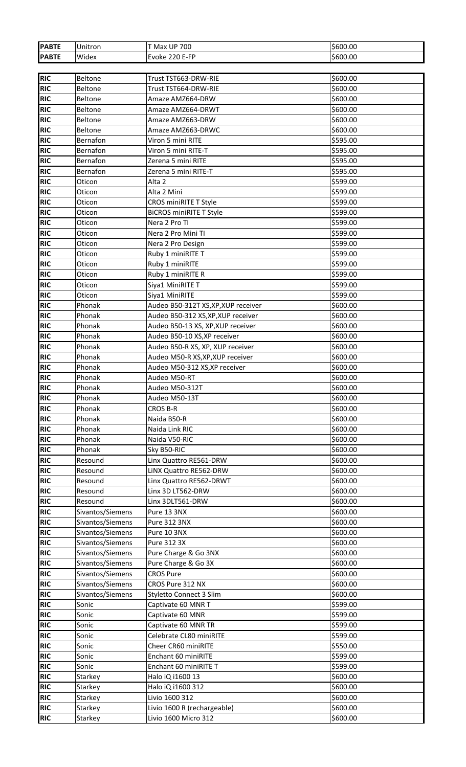| <b>PABTE</b> | Unitron          | <b>T Max UP 700</b>                 | \$600.00 |
|--------------|------------------|-------------------------------------|----------|
| <b>PABTE</b> | Widex            | Evoke 220 E-FP                      | \$600.00 |
|              |                  |                                     |          |
| <b>RIC</b>   | Beltone          | Trust TST663-DRW-RIE                | \$600.00 |
| <b>RIC</b>   | Beltone          | Trust TST664-DRW-RIE                | \$600.00 |
| <b>RIC</b>   | Beltone          | Amaze AMZ664-DRW                    | \$600.00 |
| <b>RIC</b>   | Beltone          | Amaze AMZ664-DRWT                   | \$600.00 |
| <b>RIC</b>   | Beltone          | Amaze AMZ663-DRW                    | \$600.00 |
| <b>RIC</b>   | Beltone          | Amaze AMZ663-DRWC                   | \$600.00 |
| <b>RIC</b>   | Bernafon         | Viron 5 mini RITE                   | \$595.00 |
| <b>RIC</b>   | Bernafon         | Viron 5 mini RITE-T                 | \$595.00 |
| <b>RIC</b>   | Bernafon         | Zerena 5 mini RITE                  | \$595.00 |
| <b>RIC</b>   | Bernafon         | Zerena 5 mini RITE-T                | \$595.00 |
| <b>RIC</b>   | Oticon           | Alta <sub>2</sub>                   | \$599.00 |
| <b>RIC</b>   | Oticon           | Alta 2 Mini                         | \$599.00 |
| <b>RIC</b>   | Oticon           | CROS miniRITE T Style               | \$599.00 |
| <b>RIC</b>   | Oticon           | <b>BICROS miniRITE T Style</b>      | \$599.00 |
| <b>RIC</b>   | Oticon           | Nera 2 Pro TI                       | \$599.00 |
| <b>RIC</b>   | Oticon           | Nera 2 Pro Mini TI                  | \$599.00 |
| <b>RIC</b>   | Oticon           | Nera 2 Pro Design                   | \$599.00 |
| <b>RIC</b>   | Oticon           | Ruby 1 miniRITE T                   | \$599.00 |
| <b>RIC</b>   | Oticon           | Ruby 1 miniRITE                     | \$599.00 |
| <b>RIC</b>   | Oticon           | Ruby 1 miniRITE R                   | \$599.00 |
| <b>RIC</b>   | Oticon           |                                     | \$599.00 |
|              |                  | Siya1 MiniRITE T                    |          |
| RIC          | Oticon           | Siya1 MiniRITE                      | \$599.00 |
| <b>RIC</b>   | Phonak           | Audeo B50-312T XS, XP, XUP receiver | \$600.00 |
| <b>RIC</b>   | Phonak           | Audeo B50-312 XS, XP, XUP receiver  | \$600.00 |
| RIC          | Phonak           | Audeo B50-13 XS, XP, XUP receiver   | \$600.00 |
| <b>RIC</b>   | Phonak           | Audeo B50-10 XS, XP receiver        | \$600.00 |
| <b>RIC</b>   | Phonak           | Audeo B50-R XS, XP, XUP receiver    | \$600.00 |
| <b>RIC</b>   | Phonak           | Audeo M50-R XS, XP, XUP receiver    | \$600.00 |
| <b>RIC</b>   | Phonak           | Audeo M50-312 XS, XP receiver       | \$600.00 |
| <b>RIC</b>   | Phonak           | Audeo M50-RT                        | \$600.00 |
| <b>RIC</b>   | Phonak           | Audeo M50-312T                      | \$600.00 |
| <b>RIC</b>   | Phonak           | Audeo M50-13T                       | \$600.00 |
| <b>RIC</b>   | Phonak           | <b>CROS B-R</b>                     | \$600.00 |
| <b>RIC</b>   | Phonak           | Naida B50-R                         | \$600.00 |
| <b>RIC</b>   | Phonak           | Naida Link RIC                      | \$600.00 |
| <b>RIC</b>   | Phonak           | Naida V50-RIC                       | \$600.00 |
| <b>RIC</b>   | Phonak           | Sky B50-RIC                         | \$600.00 |
| RIC          | Resound          | Linx Quattro RE561-DRW              | \$600.00 |
| <b>RIC</b>   | Resound          | LINX Quattro RE562-DRW              | \$600.00 |
| <b>RIC</b>   | Resound          | Linx Quattro RE562-DRWT             | \$600.00 |
| <b>RIC</b>   | Resound          | Linx 3D LT562-DRW                   | \$600.00 |
| <b>RIC</b>   | Resound          | Linx 3DLT561-DRW                    | \$600.00 |
| <b>RIC</b>   | Sivantos/Siemens | Pure 13 3NX                         | \$600.00 |
| <b>RIC</b>   | Sivantos/Siemens | Pure 312 3NX                        | \$600.00 |
| <b>RIC</b>   | Sivantos/Siemens | Pure 10 3NX                         | \$600.00 |
| <b>RIC</b>   | Sivantos/Siemens | Pure 312 3X                         | \$600.00 |
| <b>RIC</b>   | Sivantos/Siemens | Pure Charge & Go 3NX                | \$600.00 |
| <b>RIC</b>   | Sivantos/Siemens | Pure Charge & Go 3X                 | \$600.00 |
| RIC          | Sivantos/Siemens | <b>CROS Pure</b>                    | \$600.00 |
| <b>RIC</b>   | Sivantos/Siemens | CROS Pure 312 NX                    | \$600.00 |
| <b>RIC</b>   | Sivantos/Siemens | Styletto Connect 3 Slim             | \$600.00 |
| <b>RIC</b>   | Sonic            | Captivate 60 MNR T                  | \$599.00 |
| <b>RIC</b>   | Sonic            | Captivate 60 MNR                    | \$599.00 |
| <b>RIC</b>   | Sonic            | Captivate 60 MNR TR                 | \$599.00 |
| <b>RIC</b>   | Sonic            | Celebrate CL80 miniRITE             | \$599.00 |
| <b>RIC</b>   | Sonic            | Cheer CR60 miniRITE                 | \$550.00 |
| <b>RIC</b>   | Sonic            | Enchant 60 miniRITE                 | \$599.00 |
| <b>RIC</b>   | Sonic            | Enchant 60 miniRITE T               | \$599.00 |
| <b>RIC</b>   | Starkey          | Halo iQ i1600 13                    | \$600.00 |
| RIC          | Starkey          | Halo iQ i1600 312                   | \$600.00 |
| <b>RIC</b>   | Starkey          | Livio 1600 312                      | \$600.00 |
| <b>RIC</b>   | Starkey          | Livio 1600 R (rechargeable)         | \$600.00 |
| <b>RIC</b>   | Starkey          | Livio 1600 Micro 312                | \$600.00 |
|              |                  |                                     |          |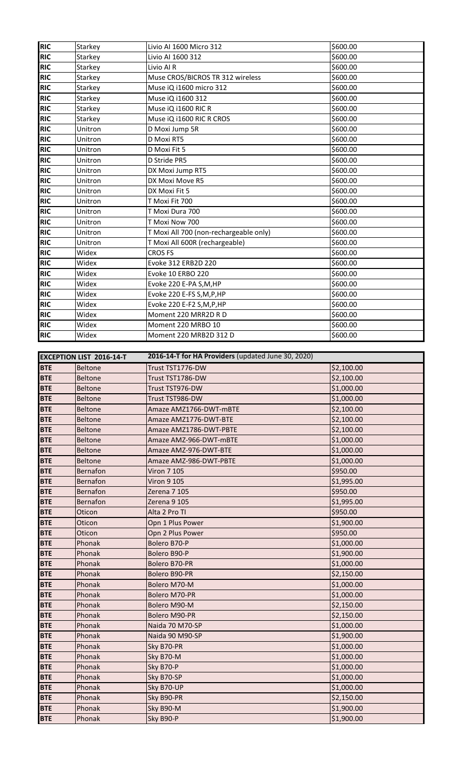| <b>RIC</b> | Starkey                         | Livio Al 1600 Micro 312                            | \$600.00   |
|------------|---------------------------------|----------------------------------------------------|------------|
| <b>RIC</b> | Starkey                         | Livio AI 1600 312                                  | \$600.00   |
| <b>RIC</b> |                                 |                                                    |            |
|            | Starkey                         | Livio Al R                                         | \$600.00   |
| <b>RIC</b> | Starkey                         | Muse CROS/BICROS TR 312 wireless                   | \$600.00   |
| <b>RIC</b> | Starkey                         | Muse iQ i1600 micro 312                            | \$600.00   |
| <b>RIC</b> | Starkey                         | Muse iQ i1600 312                                  | \$600.00   |
| <b>RIC</b> | Starkey                         | Muse iQ i1600 RIC R                                | \$600.00   |
| <b>RIC</b> | Starkey                         | Muse iQ i1600 RIC R CROS                           | \$600.00   |
| <b>RIC</b> | Unitron                         | D Moxi Jump 5R                                     | \$600.00   |
| <b>RIC</b> | Unitron                         | D Moxi RT5                                         | \$600.00   |
| <b>RIC</b> | Unitron                         | D Moxi Fit 5                                       | \$600.00   |
| <b>RIC</b> | Unitron                         | D Stride PR5                                       | \$600.00   |
| <b>RIC</b> | Unitron                         | DX Moxi Jump RT5                                   | \$600.00   |
| <b>RIC</b> | Unitron                         | DX Moxi Move R5                                    | \$600.00   |
|            |                                 | DX Moxi Fit 5                                      |            |
| <b>RIC</b> | Unitron                         |                                                    | \$600.00   |
| <b>RIC</b> | Unitron                         | T Moxi Fit 700                                     | \$600.00   |
| <b>RIC</b> | Unitron                         | T Moxi Dura 700                                    | \$600.00   |
| <b>RIC</b> | Unitron                         | T Moxi Now 700                                     | \$600.00   |
| <b>RIC</b> | Unitron                         | T Moxi All 700 (non-rechargeable only)             | \$600.00   |
| <b>RIC</b> | Unitron                         | T Moxi All 600R (rechargeable)                     | \$600.00   |
| <b>RIC</b> | Widex                           | <b>CROS FS</b>                                     | \$600.00   |
| <b>RIC</b> | Widex                           | Evoke 312 ERB2D 220                                | \$600.00   |
| <b>RIC</b> | Widex                           | Evoke 10 ERBO 220                                  | \$600.00   |
| <b>RIC</b> | Widex                           | Evoke 220 E-PA S,M,HP                              | \$600.00   |
| <b>RIC</b> | Widex                           | Evoke 220 E-FS S, M, P, HP                         | \$600.00   |
| <b>RIC</b> | Widex                           | Evoke 220 E-F2 S,M,P,HP                            | \$600.00   |
| <b>RIC</b> | Widex                           | Moment 220 MRR2D R D                               | \$600.00   |
| <b>RIC</b> |                                 |                                                    | \$600.00   |
|            | Widex                           | Moment 220 MRBO 10                                 |            |
| <b>RIC</b> | Widex                           | Moment 220 MRB2D 312 D                             | \$600.00   |
|            |                                 |                                                    |            |
|            | <b>EXCEPTION LIST 2016-14-T</b> | 2016-14-T for HA Providers (updated June 30, 2020) |            |
| <b>BTE</b> | <b>Beltone</b>                  | Trust TST1776-DW                                   | \$2,100.00 |
| <b>BTE</b> | <b>Beltone</b>                  | Trust TST1786-DW                                   | \$2,100.00 |
|            |                                 |                                                    |            |
| <b>BTE</b> | <b>Beltone</b>                  | Trust TST976-DW                                    | \$1,000.00 |
| <b>BTE</b> | <b>Beltone</b>                  | Trust TST986-DW                                    | \$1,000.00 |
|            |                                 | Amaze AMZ1766-DWT-mBTE                             |            |
| <b>BTE</b> | <b>Beltone</b>                  |                                                    | \$2,100.00 |
| <b>BTE</b> | <b>Beltone</b>                  | Amaze AMZ1776-DWT-BTE                              | \$2,100.00 |
| <b>BTE</b> | <b>Beltone</b>                  | Amaze AMZ1786-DWT-PBTE                             | \$2,100.00 |
| <b>BTE</b> | <b>Beltone</b>                  | Amaze AMZ-966-DWT-mBTE                             | \$1,000.00 |
| <b>BTE</b> | <b>Beltone</b>                  | Amaze AMZ-976-DWT-BTE                              | \$1,000.00 |
| <b>BTE</b> | <b>Beltone</b>                  | Amaze AMZ-986-DWT-PBTE                             | \$1,000.00 |
| <b>BTE</b> | Bernafon                        | <b>Viron 7 105</b>                                 | \$950.00   |
| <b>BTE</b> | Bernafon                        | <b>Viron 9 105</b>                                 | \$1,995.00 |
| <b>BTE</b> | Bernafon                        | Zerena 7 105                                       | \$950.00   |
| <b>BTE</b> | <b>Bernafon</b>                 | Zerena 9 105                                       | \$1,995.00 |
| <b>BTE</b> | Oticon                          | Alta 2 Pro TI                                      | \$950.00   |
| <b>BTE</b> | Oticon                          | Opn 1 Plus Power                                   | \$1,900.00 |
| <b>BTE</b> | Oticon                          | Opn 2 Plus Power                                   | \$950.00   |
| <b>BTE</b> | Phonak                          | Bolero B70-P                                       | \$1,000.00 |
| <b>BTE</b> | Phonak                          | Bolero B90-P                                       | \$1,900.00 |
| <b>BTE</b> | Phonak                          | Bolero B70-PR                                      | \$1,000.00 |
| <b>BTE</b> | Phonak                          | Bolero B90-PR                                      |            |
|            |                                 |                                                    | \$2,150.00 |
| <b>BTE</b> | Phonak                          | Bolero M70-M                                       | \$1,000.00 |
| <b>BTE</b> | Phonak                          | Bolero M70-PR                                      | \$1,000.00 |
| <b>BTE</b> | Phonak                          | Bolero M90-M                                       | \$2,150.00 |
| <b>BTE</b> | Phonak                          | Bolero M90-PR                                      | \$2,150.00 |
| <b>BTE</b> | Phonak                          | Naida 70 M70-SP                                    | \$1,000.00 |
| <b>BTE</b> | Phonak                          | Naida 90 M90-SP                                    | \$1,900.00 |
| <b>BTE</b> | Phonak                          | Sky B70-PR                                         | \$1,000.00 |
| <b>BTE</b> | Phonak                          | Sky B70-M                                          | \$1,000.00 |
| <b>BTE</b> | Phonak                          | Sky B70-P                                          | \$1,000.00 |
| <b>BTE</b> | Phonak                          | Sky B70-SP                                         | \$1,000.00 |
| <b>BTE</b> | Phonak                          | Sky B70-UP                                         | \$1,000.00 |
| <b>BTE</b> | Phonak                          | Sky B90-PR                                         | \$2,150.00 |
| <b>BTE</b> | Phonak                          | Sky B90-M                                          | \$1,900.00 |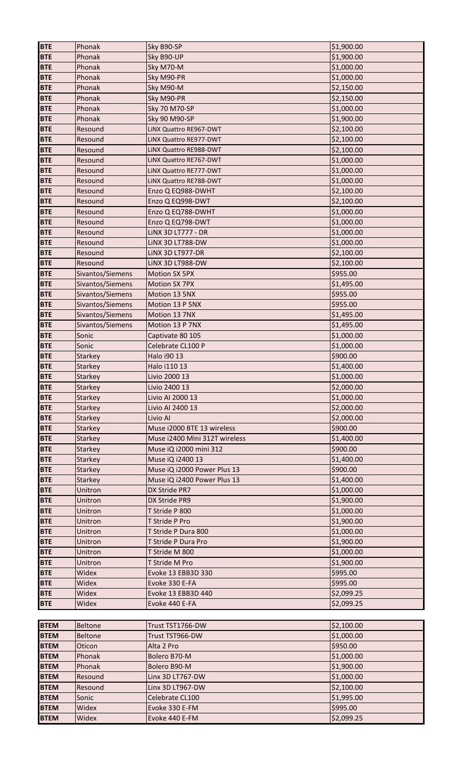| <b>BTE</b>  | Phonak           | Sky B90-SP                    | \$1,900.00 |
|-------------|------------------|-------------------------------|------------|
| <b>BTE</b>  | Phonak           | Sky B90-UP                    | \$1,900.00 |
| <b>BTE</b>  | Phonak           | Sky M70-M                     | \$1,000.00 |
| <b>BTE</b>  | Phonak           | Sky M90-PR                    | \$1,000.00 |
| <b>BTE</b>  | Phonak           | Sky M90-M                     | \$2,150.00 |
| <b>BTE</b>  | Phonak           | Sky M90-PR                    | \$2,150.00 |
| <b>BTE</b>  | Phonak           | <b>Sky 70 M70-SP</b>          | \$1,000.00 |
| <b>BTE</b>  | Phonak           | <b>Sky 90 M90-SP</b>          | \$1,900.00 |
| <b>BTE</b>  | Resound          | LINX Quattro RE967-DWT        | \$2,100.00 |
| <b>BTE</b>  | Resound          | LINX Quattro RE977-DWT        | \$2,100.00 |
| <b>BTE</b>  | Resound          | LINX Quattro RE988-DWT        | \$2,100.00 |
| <b>BTE</b>  | Resound          | LINX Quattro RE767-DWT        | \$1,000.00 |
| <b>BTE</b>  | Resound          | LINX Quattro RE777-DWT        | \$1,000.00 |
| <b>BTE</b>  | Resound          | LINX Quattro RE788-DWT        | \$1,000.00 |
| <b>BTE</b>  | Resound          | Enzo Q EQ988-DWHT             | \$2,100.00 |
| <b>BTE</b>  | Resound          | Enzo Q EQ998-DWT              | \$2,100.00 |
| <b>BTE</b>  | Resound          | Enzo Q EQ788-DWHT             | \$1,000.00 |
| <b>BTE</b>  | Resound          | Enzo Q EQ798-DWT              | \$1,000.00 |
| <b>BTE</b>  | Resound          | <b>LINX 3D LT777 - DR</b>     | \$1,000.00 |
| <b>BTE</b>  | Resound          | LINX 3D LT788-DW              | \$1,000.00 |
| <b>BTE</b>  | Resound          | LINX 3D LT977-DR              | \$2,100.00 |
| <b>BTE</b>  | Resound          | LINX 3D LT988-DW              | \$2,100.00 |
| <b>BTE</b>  | Sivantos/Siemens | <b>Motion SX 5PX</b>          | \$955.00   |
| <b>BTE</b>  | Sivantos/Siemens | Motion SX 7PX                 | \$1,495.00 |
| <b>BTE</b>  | Sivantos/Siemens | Motion 13 5NX                 | \$955.00   |
| <b>BTE</b>  | Sivantos/Siemens | Motion 13 P 5NX               | \$955.00   |
| <b>BTE</b>  | Sivantos/Siemens | Motion 13 7NX                 | \$1,495.00 |
| <b>BTE</b>  | Sivantos/Siemens | Motion 13 P 7NX               | \$1,495.00 |
| <b>BTE</b>  | Sonic            | Captivate 80 105              | \$1,000.00 |
| <b>BTE</b>  | Sonic            | Celebrate CL100 P             | \$1,000.00 |
| <b>BTE</b>  | Starkey          | Halo i90 13                   | \$900.00   |
| <b>BTE</b>  | <b>Starkey</b>   | Halo i110 13                  | \$1,400.00 |
| <b>BTE</b>  | <b>Starkey</b>   | Livio 2000 13                 | \$1,000.00 |
| <b>BTE</b>  | <b>Starkey</b>   | Livio 2400 13                 | \$2,000.00 |
| <b>BTE</b>  | <b>Starkey</b>   | Livio AI 2000 13              | \$1,000.00 |
| <b>BTE</b>  | <b>Starkey</b>   | Livio AI 2400 13              | \$2,000.00 |
| <b>BTE</b>  | <b>Starkey</b>   | Livio Al                      | \$2,000.00 |
| <b>BTE</b>  | Starkey          | Muse i2000 BTE 13 wireless    | \$900.00   |
| <b>BTE</b>  | Starkey          | Muse i2400 Mini 312T wireless | \$1,400.00 |
| <b>BTE</b>  | Starkey          | Muse iQ i2000 mini 312        | \$900.00   |
| <b>BTE</b>  | Starkey          | Muse iQ i2400 13              | \$1,400.00 |
| <b>BTE</b>  | <b>Starkey</b>   | Muse iQ i2000 Power Plus 13   | \$900.00   |
| <b>BTE</b>  | Starkey          | Muse iQ i2400 Power Plus 13   | \$1,400.00 |
| <b>BTE</b>  | Unitron          | DX Stride PR7                 | \$1,000.00 |
| <b>BTE</b>  | Unitron          | DX Stride PR9                 | \$1,900.00 |
| <b>BTE</b>  | Unitron          | T Stride P 800                | \$1,000.00 |
| <b>BTE</b>  | Unitron          | T Stride P Pro                | \$1,900.00 |
| <b>BTE</b>  | Unitron          | T Stride P Dura 800           | \$1,000.00 |
| <b>BTE</b>  | Unitron          | T Stride P Dura Pro           | \$1,900.00 |
| <b>BTE</b>  | Unitron          | T Stride M 800                | \$1,000.00 |
| <b>BTE</b>  | Unitron          | T Stride M Pro                | \$1,900.00 |
| <b>BTE</b>  | Widex            | Evoke 13 EBB3D 330            | \$995.00   |
| <b>BTE</b>  | Widex            | Evoke 330 E-FA                | \$995.00   |
| <b>BTE</b>  | Widex            | Evoke 13 EBB3D 440            | \$2,099.25 |
| <b>BTE</b>  | Widex            | Evoke 440 E-FA                | \$2,099.25 |
|             |                  |                               |            |
| <b>BTEM</b> | <b>Beltone</b>   | Trust TST1766-DW              | \$2,100.00 |
| <b>BTEM</b> |                  | Trust TST966-DW               |            |
|             | <b>Beltone</b>   |                               | \$1,000.00 |
| <b>BTEM</b> | Oticon           | Alta 2 Pro                    | \$950.00   |
| <b>BTEM</b> | Phonak           | Bolero B70-M                  | \$1,000.00 |
| <b>BTEM</b> | Phonak           | Bolero B90-M                  | \$1,900.00 |
| <b>BTEM</b> | Resound          | Linx 3D LT767-DW              | \$1,000.00 |
| <b>BTEM</b> | Resound          | Linx 3D LT967-DW              | \$2,100.00 |
| <b>BTEM</b> | Sonic            | Celebrate CL100               | \$1,995.00 |
| <b>BTEM</b> | Widex            | Evoke 330 E-FM                | \$995.00   |
| <b>BTEM</b> | Widex            | Evoke 440 E-FM                | \$2,099.25 |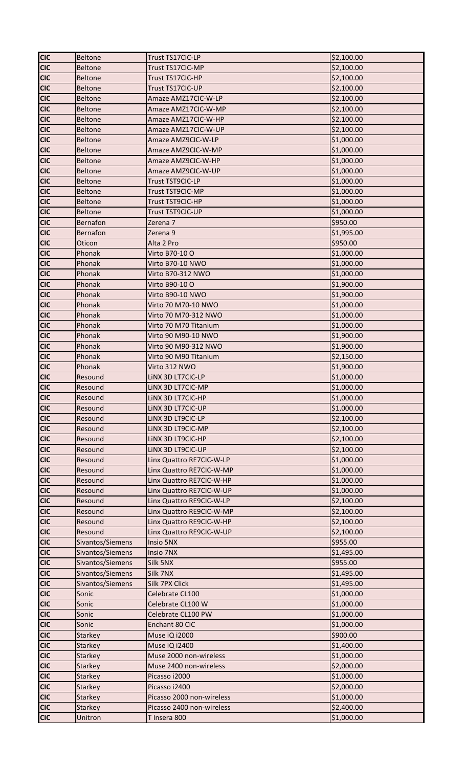| <b>CIC</b> | <b>Beltone</b>   | Trust TS17CIC-LP          | \$2,100.00 |
|------------|------------------|---------------------------|------------|
| <b>CIC</b> | <b>Beltone</b>   | Trust TS17CIC-MP          | \$2,100.00 |
| <b>CIC</b> | <b>Beltone</b>   | Trust TS17CIC-HP          | \$2,100.00 |
| <b>CIC</b> | <b>Beltone</b>   | Trust TS17CIC-UP          | \$2,100.00 |
| <b>CIC</b> | <b>Beltone</b>   | Amaze AMZ17CIC-W-LP       | \$2,100.00 |
| <b>CIC</b> | <b>Beltone</b>   | Amaze AMZ17CIC-W-MP       | \$2,100.00 |
| <b>CIC</b> | <b>Beltone</b>   | Amaze AMZ17CIC-W-HP       | \$2,100.00 |
| <b>CIC</b> | <b>Beltone</b>   | Amaze AMZ17CIC-W-UP       | \$2,100.00 |
| <b>CIC</b> | <b>Beltone</b>   | Amaze AMZ9CIC-W-LP        | \$1,000.00 |
| <b>CIC</b> | <b>Beltone</b>   | Amaze AMZ9CIC-W-MP        | \$1,000.00 |
| <b>CIC</b> | <b>Beltone</b>   | Amaze AMZ9CIC-W-HP        | \$1,000.00 |
| <b>CIC</b> | <b>Beltone</b>   | Amaze AMZ9CIC-W-UP        | \$1,000.00 |
| <b>CIC</b> | <b>Beltone</b>   | Trust TST9CIC-LP          | \$1,000.00 |
| <b>CIC</b> | <b>Beltone</b>   | Trust TST9CIC-MP          | \$1,000.00 |
| <b>CIC</b> | <b>Beltone</b>   | Trust TST9CIC-HP          | \$1,000.00 |
| <b>CIC</b> | <b>Beltone</b>   | Trust TST9CIC-UP          | \$1,000.00 |
| <b>CIC</b> | Bernafon         | Zerena 7                  | \$950.00   |
| <b>CIC</b> | Bernafon         | Zerena 9                  | \$1,995.00 |
| <b>CIC</b> | Oticon           | Alta 2 Pro                | \$950.00   |
| <b>CIC</b> | Phonak           | Virto B70-10 O            | \$1,000.00 |
| <b>CIC</b> | Phonak           | Virto B70-10 NWO          | \$1,000.00 |
| <b>CIC</b> | Phonak           | Virto B70-312 NWO         | \$1,000.00 |
| <b>CIC</b> | Phonak           | Virto B90-10 O            | \$1,900.00 |
| <b>CIC</b> | Phonak           | Virto B90-10 NWO          | \$1,900.00 |
| <b>CIC</b> | Phonak           | Virto 70 M70-10 NWO       | \$1,000.00 |
| <b>CIC</b> |                  |                           |            |
|            | Phonak           | Virto 70 M70-312 NWO      | \$1,000.00 |
| <b>CIC</b> | Phonak           | Virto 70 M70 Titanium     | \$1,000.00 |
| <b>CIC</b> | Phonak           | Virto 90 M90-10 NWO       | \$1,900.00 |
| <b>CIC</b> | Phonak           | Virto 90 M90-312 NWO      | \$1,900.00 |
| <b>CIC</b> | Phonak           | Virto 90 M90 Titanium     | \$2,150.00 |
| <b>CIC</b> | Phonak           | Virto 312 NWO             | \$1,900.00 |
| <b>CIC</b> | Resound          | LINX 3D LT7CIC-LP         | \$1,000.00 |
| <b>CIC</b> | Resound          | LINX 3D LT7CIC-MP         | \$1,000.00 |
| <b>CIC</b> | Resound          | LINX 3D LT7CIC-HP         | \$1,000.00 |
| <b>CIC</b> | Resound          | LINX 3D LT7CIC-UP         | \$1,000.00 |
| <b>CIC</b> | Resound          | LINX 3D LT9CIC-LP         | \$2,100.00 |
| <b>CIC</b> | Resound          | LINX 3D LT9CIC-MP         | \$2,100.00 |
| <b>CIC</b> | Resound          | LINX 3D LT9CIC-HP         | \$2,100.00 |
| <b>CIC</b> | Resound          | LINX 3D LT9CIC-UP         | \$2,100.00 |
| <b>CIC</b> | Resound          | Linx Quattro RE7CIC-W-LP  | \$1,000.00 |
| <b>CIC</b> | Resound          | Linx Quattro RE7CIC-W-MP  | \$1,000.00 |
| <b>CIC</b> | Resound          | Linx Quattro RE7CIC-W-HP  | \$1,000.00 |
| <b>CIC</b> | Resound          | Linx Quattro RE7CIC-W-UP  | \$1,000.00 |
| <b>CIC</b> | Resound          | Linx Quattro RE9CIC-W-LP  | \$2,100.00 |
| <b>CIC</b> | Resound          | Linx Quattro RE9CIC-W-MP  | \$2,100.00 |
| <b>CIC</b> | Resound          | Linx Quattro RE9CIC-W-HP  | \$2,100.00 |
| <b>CIC</b> | Resound          | Linx Quattro RE9CIC-W-UP  | \$2,100.00 |
| <b>CIC</b> | Sivantos/Siemens | Insio 5NX                 | \$955.00   |
| <b>CIC</b> | Sivantos/Siemens | Insio 7NX                 | \$1,495.00 |
| <b>CIC</b> | Sivantos/Siemens | Silk 5NX                  | \$955.00   |
| <b>CIC</b> | Sivantos/Siemens | Silk 7NX                  | \$1,495.00 |
| <b>CIC</b> | Sivantos/Siemens | Silk 7PX Click            | \$1,495.00 |
| <b>CIC</b> | Sonic            | Celebrate CL100           | \$1,000.00 |
| <b>CIC</b> | Sonic            | Celebrate CL100 W         | \$1,000.00 |
| <b>CIC</b> | Sonic            | Celebrate CL100 PW        | \$1,000.00 |
| <b>CIC</b> | Sonic            | Enchant 80 CIC            | \$1,000.00 |
| <b>CIC</b> | <b>Starkey</b>   | Muse iQ i2000             | \$900.00   |
| <b>CIC</b> | <b>Starkey</b>   | Muse iQ i2400             | \$1,400.00 |
| <b>CIC</b> | <b>Starkey</b>   | Muse 2000 non-wireless    | \$1,000.00 |
| <b>CIC</b> | <b>Starkey</b>   | Muse 2400 non-wireless    | \$2,000.00 |
| <b>CIC</b> | <b>Starkey</b>   | Picasso i2000             | \$1,000.00 |
| <b>CIC</b> | <b>Starkey</b>   | Picasso i2400             | \$2,000.00 |
| <b>CIC</b> | <b>Starkey</b>   | Picasso 2000 non-wireless | \$1,000.00 |
| <b>CIC</b> | Starkey          | Picasso 2400 non-wireless | \$2,400.00 |
| <b>CIC</b> | Unitron          | T Insera 800              | \$1,000.00 |
|            |                  |                           |            |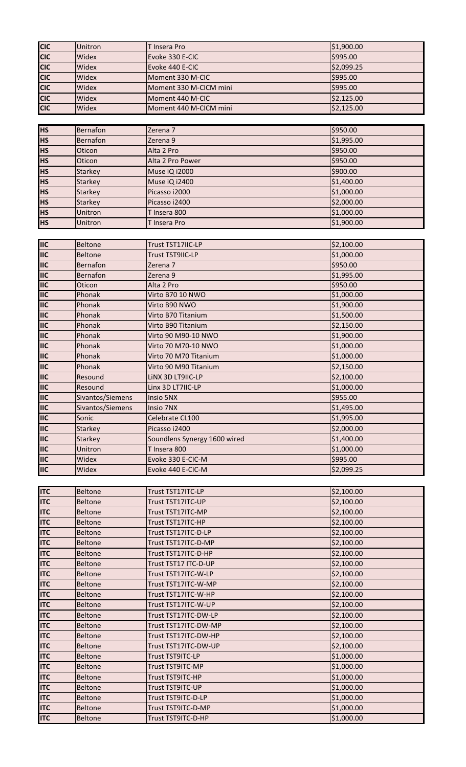| <b>CIC</b>                | Unitron          | T Insera Pro                 | \$1,900.00 |
|---------------------------|------------------|------------------------------|------------|
| <b>CIC</b>                | Widex            | Evoke 330 E-CIC              | \$995.00   |
| <b>CIC</b>                | Widex            | Evoke 440 E-CIC              | \$2,099.25 |
| <b>CIC</b>                | Widex            | Moment 330 M-CIC             | \$995.00   |
|                           |                  |                              |            |
| <b>CIC</b>                | Widex            | Moment 330 M-CICM mini       | \$995.00   |
| <b>CIC</b>                | Widex            | Moment 440 M-CIC             | \$2,125.00 |
| <b>CIC</b>                | Widex            | Moment 440 M-CICM mini       | \$2,125.00 |
|                           |                  |                              |            |
|                           |                  |                              |            |
| <b>HS</b>                 | Bernafon         | Zerena 7                     | \$950.00   |
| <b>HS</b>                 | Bernafon         | Zerena 9                     | \$1,995.00 |
| <b>HS</b>                 | Oticon           | Alta 2 Pro                   | \$950.00   |
| <b>HS</b>                 | Oticon           | Alta 2 Pro Power             | \$950.00   |
| <b>HS</b>                 |                  |                              | \$900.00   |
|                           | <b>Starkey</b>   | Muse iQ i2000                |            |
| <b>HS</b>                 | Starkey          | Muse iQ i2400                | \$1,400.00 |
| <b>HS</b>                 | <b>Starkey</b>   | Picasso i2000                | \$1,000.00 |
| <b>HS</b>                 | Starkey          | Picasso i2400                | \$2,000.00 |
| <b>HS</b>                 | Unitron          | T Insera 800                 | \$1,000.00 |
|                           |                  |                              |            |
| <b>HS</b>                 | Unitron          | T Insera Pro                 | \$1,900.00 |
|                           |                  |                              |            |
| <b>IIC</b>                | <b>Beltone</b>   | Trust TST17IIC-LP            | \$2,100.00 |
| <b>IIC</b>                | <b>Beltone</b>   | Trust TST9IIC-LP             | \$1,000.00 |
|                           |                  |                              |            |
| <b>IIC</b>                | Bernafon         | Zerena 7                     | \$950.00   |
| <b>IIC</b>                | Bernafon         | Zerena 9                     | \$1,995.00 |
| $\overline{\mathsf{IIC}}$ | Oticon           | Alta 2 Pro                   | \$950.00   |
| <b>IIC</b>                | Phonak           | Virto B70 10 NWO             | \$1,000.00 |
| <b>IIC</b>                | Phonak           | Virto B90 NWO                | \$1,900.00 |
|                           |                  |                              |            |
| <b>IIC</b>                | Phonak           | Virto B70 Titanium           | \$1,500.00 |
| <b>IIC</b>                | Phonak           | Virto B90 Titanium           | \$2,150.00 |
| <b>IIIC</b>               | Phonak           | Virto 90 M90-10 NWO          | \$1,900.00 |
| <b>IIC</b>                | Phonak           | Virto 70 M70-10 NWO          | \$1,000.00 |
| <b>IIC</b>                | Phonak           | Virto 70 M70 Titanium        | \$1,000.00 |
|                           |                  |                              |            |
| <b>IIC</b>                | Phonak           | Virto 90 M90 Titanium        | \$2,150.00 |
| <b>IIIC</b>               | Resound          | LINX 3D LT9IIC-LP            | \$2,100.00 |
| <b>IIC</b>                | Resound          | Linx 3D LT7IIC-LP            | \$1,000.00 |
| <b>IIC</b>                | Sivantos/Siemens | Insio 5NX                    | \$955.00   |
| <b>IIC</b>                | Sivantos/Siemens |                              | \$1,495.00 |
|                           |                  | Insio 7NX                    |            |
| <b>IIC</b>                | Sonic            | Celebrate CL100              | \$1,995.00 |
| <b>IIC</b>                | Starkey          | Picasso i2400                | \$2,000.00 |
| <b>IIIC</b>               | Starkey          | Soundlens Synergy 1600 wired | \$1,400.00 |
| <b>IIC</b>                | Unitron          | T Insera 800                 | \$1,000.00 |
| <b>IIC</b>                |                  |                              | \$995.00   |
|                           | Widex            | Evoke 330 E-CIC-M            |            |
| <b>IIC</b>                | Widex            | Evoke 440 E-CIC-M            | \$2,099.25 |
|                           |                  |                              |            |
| <b>ITC</b>                | <b>Beltone</b>   | Trust TST17ITC-LP            | \$2,100.00 |
| <b>ITC</b>                | <b>Beltone</b>   | Trust TST17ITC-UP            | \$2,100.00 |
|                           |                  |                              |            |
| <b>ITC</b>                | <b>Beltone</b>   | Trust TST17ITC-MP            | \$2,100.00 |
| <b>ITC</b>                | <b>Beltone</b>   | Trust TST17ITC-HP            | \$2,100.00 |
| <b>ITC</b>                | <b>Beltone</b>   | Trust TST17ITC-D-LP          | \$2,100.00 |
| <b>ITC</b>                | <b>Beltone</b>   | Trust TST17ITC-D-MP          | \$2,100.00 |
| <b>ITC</b>                | <b>Beltone</b>   | Trust TST17ITC-D-HP          | \$2,100.00 |
|                           |                  |                              |            |
| <b>ITC</b>                | <b>Beltone</b>   | Trust TST17 ITC-D-UP         | \$2,100.00 |
| <b>ITC</b>                | <b>Beltone</b>   | Trust TST17ITC-W-LP          | \$2,100.00 |
| <b>ITC</b>                | <b>Beltone</b>   | Trust TST17ITC-W-MP          | \$2,100.00 |
| <b>ITC</b>                | <b>Beltone</b>   | Trust TST17ITC-W-HP          | \$2,100.00 |
| <b>ITC</b>                | <b>Beltone</b>   | Trust TST17ITC-W-UP          | \$2,100.00 |
|                           |                  |                              |            |
| <b>ITC</b>                | <b>Beltone</b>   | Trust TST17ITC-DW-LP         | \$2,100.00 |
| <b>ITC</b>                | <b>Beltone</b>   | Trust TST17ITC-DW-MP         | \$2,100.00 |
| <b>ITC</b>                | <b>Beltone</b>   | Trust TST17ITC-DW-HP         | \$2,100.00 |
| <b>ITC</b>                | <b>Beltone</b>   | Trust TST17ITC-DW-UP         | \$2,100.00 |
|                           |                  |                              |            |
| <b>ITC</b>                | <b>Beltone</b>   | Trust TST9ITC-LP             | \$1,000.00 |
| <b>ITC</b>                | <b>Beltone</b>   | Trust TST9ITC-MP             | \$1,000.00 |
| <b>ITC</b>                | <b>Beltone</b>   | Trust TST9ITC-HP             | \$1,000.00 |
| <b>ITC</b>                | <b>Beltone</b>   | Trust TST9ITC-UP             | \$1,000.00 |
| <b>ITC</b>                | <b>Beltone</b>   | Trust TST9ITC-D-LP           | \$1,000.00 |
|                           |                  |                              |            |
| <b>ITC</b>                | <b>Beltone</b>   | Trust TST9ITC-D-MP           | \$1,000.00 |
| <b>ITC</b>                | Beltone          | Trust TST9ITC-D-HP           | \$1,000.00 |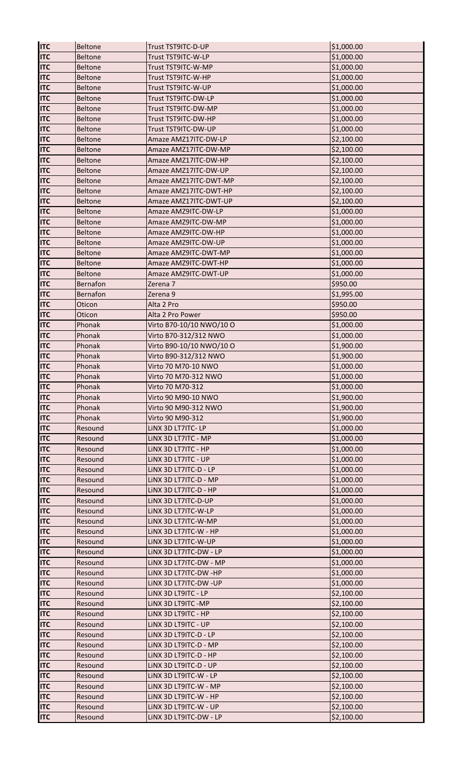| <b>ITC</b>               | <b>Beltone</b>     | Trust TST9ITC-D-UP                              | \$1,000.00               |
|--------------------------|--------------------|-------------------------------------------------|--------------------------|
| <b>ITC</b>               | <b>Beltone</b>     | Trust TST9ITC-W-LP                              | \$1,000.00               |
| <b>ITC</b>               | <b>Beltone</b>     | Trust TST9ITC-W-MP                              | \$1,000.00               |
| <b>ITC</b>               | <b>Beltone</b>     | Trust TST9ITC-W-HP                              | \$1,000.00               |
| <b>ITC</b>               | <b>Beltone</b>     | Trust TST9ITC-W-UP                              | \$1,000.00               |
| <b>ITC</b>               | <b>Beltone</b>     | Trust TST9ITC-DW-LP                             | \$1,000.00               |
| <b>ITC</b>               | <b>Beltone</b>     | Trust TST9ITC-DW-MP                             | \$1,000.00               |
| <b>ITC</b>               | <b>Beltone</b>     | Trust TST9ITC-DW-HP                             | \$1,000.00               |
| <b>ITC</b>               | <b>Beltone</b>     | Trust TST9ITC-DW-UP                             | \$1,000.00               |
| <b>ITC</b>               | <b>Beltone</b>     | Amaze AMZ17ITC-DW-LP                            | \$2,100.00               |
| <b>ITC</b>               | <b>Beltone</b>     | Amaze AMZ17ITC-DW-MP                            | \$2,100.00               |
| <b>ITC</b>               | <b>Beltone</b>     | Amaze AMZ17ITC-DW-HP                            | \$2,100.00               |
| <b>ITC</b>               | <b>Beltone</b>     | Amaze AMZ17ITC-DW-UP                            | \$2,100.00               |
| <b>ITC</b>               | <b>Beltone</b>     | Amaze AMZ17ITC-DWT-MP                           | \$2,100.00               |
| <b>ITC</b>               | <b>Beltone</b>     | Amaze AMZ17ITC-DWT-HP                           | \$2,100.00               |
| <b>ITC</b>               | <b>Beltone</b>     | Amaze AMZ17ITC-DWT-UP                           | \$2,100.00               |
| <b>ITC</b>               | <b>Beltone</b>     | Amaze AMZ9ITC-DW-LP                             | \$1,000.00               |
| <b>ITC</b>               | <b>Beltone</b>     | Amaze AMZ9ITC-DW-MP                             | \$1,000.00               |
| <b>ITC</b>               | <b>Beltone</b>     | Amaze AMZ9ITC-DW-HP                             | \$1,000.00               |
| <b>ITC</b>               | <b>Beltone</b>     | Amaze AMZ9ITC-DW-UP                             | \$1,000.00               |
| <b>ITC</b>               | Beltone            | Amaze AMZ9ITC-DWT-MP                            | \$1,000.00               |
| <b>ITC</b>               | <b>Beltone</b>     | Amaze AMZ9ITC-DWT-HP                            | \$1,000.00               |
| <b>ITC</b>               | <b>Beltone</b>     | Amaze AMZ9ITC-DWT-UP                            | \$1,000.00               |
| <b>ITC</b>               | <b>Bernafon</b>    | Zerena 7                                        | \$950.00                 |
| <b>ITC</b>               | <b>Bernafon</b>    | Zerena 9                                        | \$1,995.00               |
| <b>ITC</b>               | Oticon             | Alta 2 Pro                                      | \$950.00                 |
| <b>ITC</b>               | Oticon             | Alta 2 Pro Power                                | \$950.00                 |
| <b>ITC</b>               | Phonak             | Virto B70-10/10 NWO/10 O                        | \$1,000.00               |
| <b>ITC</b>               | Phonak             | Virto B70-312/312 NWO                           | \$1,000.00               |
| <b>ITC</b>               | Phonak             | Virto B90-10/10 NWO/10 O                        | \$1,900.00               |
| <b>ITC</b>               | Phonak             | Virto B90-312/312 NWO                           | \$1,900.00               |
| <b>ITC</b>               | Phonak             | Virto 70 M70-10 NWO                             | \$1,000.00               |
| <b>ITC</b>               | Phonak             | Virto 70 M70-312 NWO                            | \$1,000.00               |
|                          |                    |                                                 |                          |
|                          |                    |                                                 |                          |
| <b>ITC</b>               | Phonak             | Virto 70 M70-312                                | \$1,000.00               |
| <b>ITC</b>               | Phonak             | Virto 90 M90-10 NWO                             | \$1,900.00               |
| <b>ITC</b>               | Phonak             | Virto 90 M90-312 NWO                            | \$1,900.00               |
| <b>ITC</b>               | Phonak             | Virto 90 M90-312                                | \$1,900.00               |
| <b>ITC</b>               | Resound            | LINX 3D LT7ITC-LP                               | \$1,000.00               |
| <b>ITC</b>               | Resound            | LINX 3D LT7ITC - MP                             | \$1,000.00               |
| <b>ITC</b>               | Resound            | LINX 3D LT7ITC - HP                             | \$1,000.00               |
| <b>ITC</b>               | Resound            | LINX 3D LT7ITC - UP                             | \$1,000.00               |
| <b>ITC</b>               | Resound            | LINX 3D LT7ITC-D - LP                           | \$1,000.00               |
| <b>ITC</b>               | Resound            | LINX 3D LT7ITC-D - MP                           | \$1,000.00               |
| <b>ITC</b>               | Resound            | LINX 3D LT7ITC-D - HP                           | \$1,000.00               |
| <b>ITC</b>               | Resound            | LINX 3D LT7ITC-D-UP                             | \$1,000.00               |
| <b>ITC</b>               | Resound            | LINX 3D LT7ITC-W-LP                             | \$1,000.00               |
| <b>ITC</b>               | Resound            | LINX 3D LT7ITC-W-MP                             | \$1,000.00               |
| <b>ITC</b>               | Resound            | LINX 3D LT7ITC-W - HP                           | \$1,000.00               |
| <b>ITC</b>               | Resound            | LINX 3D LT7ITC-W-UP                             | \$1,000.00               |
| <b>ITC</b>               | Resound            | LINX 3D LT7ITC-DW - LP                          | \$1,000.00               |
| <b>ITC</b>               | Resound            | LINX 3D LT7ITC-DW - MP                          | \$1,000.00               |
| <b>ITC</b>               | Resound            | LINX 3D LT7ITC-DW -HP                           | \$1,000.00               |
| <b>ITC</b>               | Resound            | LINX 3D LT7ITC-DW -UP                           | \$1,000.00               |
| <b>ITC</b>               | Resound            | LINX 3D LT9ITC - LP                             | \$2,100.00               |
| <b>ITC</b>               | Resound            | LINX 3D LT9ITC - MP                             | \$2,100.00               |
| <b>ITC</b>               | Resound            | LINX 3D LT9ITC - HP                             | \$2,100.00               |
| <b>ITC</b>               | Resound            | LINX 3D LT9ITC - UP                             | \$2,100.00               |
| <b>ITC</b>               | Resound            | LINX 3D LT9ITC-D - LP                           | \$2,100.00               |
| <b>ITC</b>               | Resound            | LINX 3D LT9ITC-D - MP                           | \$2,100.00               |
| <b>ITC</b>               | Resound            | LINX 3D LT9ITC-D - HP                           | \$2,100.00               |
| <b>ITC</b>               | Resound            | LINX 3D LT9ITC-D - UP                           | \$2,100.00               |
| <b>ITC</b>               | Resound            | LINX 3D LT9ITC-W - LP                           | \$2,100.00               |
| <b>ITC</b>               | Resound            | LINX 3D LT9ITC-W - MP                           | \$2,100.00               |
| <b>ITC</b>               | Resound            | LINX 3D LT9ITC-W - HP                           | \$2,100.00               |
| <b>ITC</b><br><b>ITC</b> | Resound<br>Resound | LINX 3D LT9ITC-W - UP<br>LINX 3D LT9ITC-DW - LP | \$2,100.00<br>\$2,100.00 |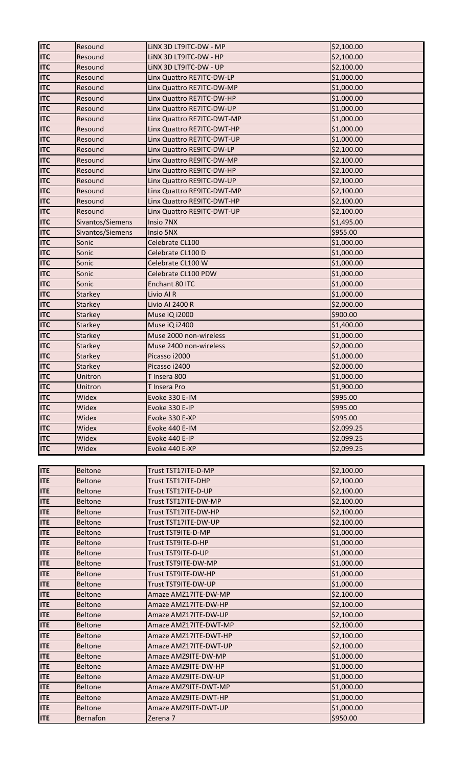| <b>ITC</b>               | Resound          | LINX 3D LT9ITC-DW - MP           | \$2,100.00             |
|--------------------------|------------------|----------------------------------|------------------------|
| <b>ITC</b>               | Resound          | LINX 3D LT9ITC-DW - HP           | \$2,100.00             |
| <b>ITC</b>               | Resound          | LINX 3D LT9ITC-DW - UP           | \$2,100.00             |
| <b>ITC</b>               | Resound          | Linx Quattro RE7ITC-DW-LP        | \$1,000.00             |
| <b>ITC</b>               | Resound          | Linx Quattro RE7ITC-DW-MP        | \$1,000.00             |
| <b>ITC</b>               | Resound          | Linx Quattro RE7ITC-DW-HP        | \$1,000.00             |
| <b>ITC</b>               | Resound          | Linx Quattro RE7ITC-DW-UP        | \$1,000.00             |
| <b>ITC</b>               | Resound          | Linx Quattro RE7ITC-DWT-MP       | \$1,000.00             |
| <b>ITC</b>               | Resound          | Linx Quattro RE7ITC-DWT-HP       | \$1,000.00             |
| <b>ITC</b>               | Resound          | Linx Quattro RE7ITC-DWT-UP       | \$1,000.00             |
| <b>ITC</b>               | Resound          | Linx Quattro RE9ITC-DW-LP        | \$2,100.00             |
| <b>ITC</b>               | Resound          | Linx Quattro RE9ITC-DW-MP        | \$2,100.00             |
| <b>ITC</b>               | Resound          | Linx Quattro RE9ITC-DW-HP        | \$2,100.00             |
| <b>ITC</b>               | Resound          | Linx Quattro RE9ITC-DW-UP        | \$2,100.00             |
| <b>ITC</b>               | Resound          | Linx Quattro RE9ITC-DWT-MP       | \$2,100.00             |
| <b>ITC</b>               | Resound          | Linx Quattro RE9ITC-DWT-HP       | \$2,100.00             |
| <b>ITC</b>               | Resound          | Linx Quattro RE9ITC-DWT-UP       | \$2,100.00             |
| <b>ITC</b>               | Sivantos/Siemens | Insio 7NX                        | \$1,495.00             |
| <b>ITC</b>               | Sivantos/Siemens | Insio 5NX                        | \$955.00               |
| <b>ITC</b>               | Sonic            | Celebrate CL100                  | \$1,000.00             |
| <b>ITC</b>               | Sonic            | Celebrate CL100 D                | \$1,000.00             |
| <b>ITC</b>               | Sonic            | Celebrate CL100 W                | \$1,000.00             |
| <b>ITC</b>               | Sonic            | Celebrate CL100 PDW              | \$1,000.00             |
| <b>ITC</b>               | Sonic            | Enchant 80 ITC                   | \$1,000.00             |
| <b>ITC</b>               | <b>Starkey</b>   | Livio AI R                       | \$1,000.00             |
| <b>ITC</b>               | <b>Starkey</b>   | Livio AI 2400 R                  | \$2,000.00             |
| <b>ITC</b>               | <b>Starkey</b>   | Muse iQ i2000                    | \$900.00               |
| <b>ITC</b>               | <b>Starkey</b>   | Muse iQ i2400                    | \$1,400.00             |
| <b>ITC</b>               | <b>Starkey</b>   | Muse 2000 non-wireless           | \$1,000.00             |
| <b>ITC</b>               | <b>Starkey</b>   | Muse 2400 non-wireless           | \$2,000.00             |
| <b>ITC</b>               | Starkey          | Picasso i2000                    | \$1,000.00             |
| <b>ITC</b>               | <b>Starkey</b>   | Picasso i2400                    | \$2,000.00             |
| <b>ITC</b>               | Unitron          | T Insera 800                     | \$1,000.00             |
| <b>ITC</b>               | Unitron          | T Insera Pro                     | \$1,900.00             |
| <b>ITC</b>               | Widex            | Evoke 330 E-IM                   | \$995.00               |
| <b>ITC</b>               | Widex            | Evoke 330 E-IP                   | \$995.00               |
| <b>ITC</b><br><b>ITC</b> | Widex<br>Widex   | Evoke 330 E-XP<br>Evoke 440 E-IM | \$995.00<br>\$2,099.25 |
| <b>ITC</b>               | Widex            | Evoke 440 E-IP                   | \$2,099.25             |
| <b>ITC</b>               | Widex            | Evoke 440 E-XP                   | \$2,099.25             |
|                          |                  |                                  |                        |
| <b>ITE</b>               | <b>Beltone</b>   | Trust TST17ITE-D-MP              | \$2,100.00             |
| <b>ITE</b>               | <b>Beltone</b>   | Trust TST17ITE-DHP               | \$2,100.00             |
| <b>ITE</b>               | <b>Beltone</b>   | Trust TST17ITE-D-UP              | \$2,100.00             |
| <b>ITE</b>               | <b>Beltone</b>   | Trust TST17ITE-DW-MP             | \$2,100.00             |
| <b>ITE</b>               | <b>Beltone</b>   | Trust TST17ITE-DW-HP             | \$2,100.00             |
| <b>ITE</b>               | <b>Beltone</b>   | Trust TST17ITE-DW-UP             | \$2,100.00             |
| <b>ITE</b>               | <b>Beltone</b>   | Trust TST9ITE-D-MP               | \$1,000.00             |
| <b>ITE</b>               | <b>Beltone</b>   | Trust TST9ITE-D-HP               | \$1,000.00             |
| <b>ITE</b>               | <b>Beltone</b>   | Trust TST9ITE-D-UP               | \$1,000.00             |
| <b>ITE</b>               | <b>Beltone</b>   | Trust TST9ITE-DW-MP              | \$1,000.00             |
| <b>ITE</b>               | <b>Beltone</b>   | Trust TST9ITE-DW-HP              | \$1,000.00             |
| <b>ITE</b>               | <b>Beltone</b>   | Trust TST9ITE-DW-UP              | \$1,000.00             |
| <b>ITE</b>               | <b>Beltone</b>   | Amaze AMZ17ITE-DW-MP             | \$2,100.00             |
| <b>ITE</b>               | <b>Beltone</b>   | Amaze AMZ17ITE-DW-HP             | \$2,100.00             |
| <b>ITE</b>               | <b>Beltone</b>   | Amaze AMZ17ITE-DW-UP             | \$2,100.00             |
| <b>ITE</b>               | <b>Beltone</b>   | Amaze AMZ17ITE-DWT-MP            | \$2,100.00             |
| <b>ITE</b>               | <b>Beltone</b>   | Amaze AMZ17ITE-DWT-HP            | \$2,100.00             |
| <b>ITE</b>               | <b>Beltone</b>   | Amaze AMZ17ITE-DWT-UP            | \$2,100.00             |
| <b>ITE</b>               | <b>Beltone</b>   | Amaze AMZ9ITE-DW-MP              | \$1,000.00             |
| <b>ITE</b>               | <b>Beltone</b>   | Amaze AMZ9ITE-DW-HP              | \$1,000.00             |
| <b>ITE</b>               | <b>Beltone</b>   | Amaze AMZ9ITE-DW-UP              | \$1,000.00             |
| <b>ITE</b>               | <b>Beltone</b>   | Amaze AMZ9ITE-DWT-MP             | \$1,000.00             |
| <b>ITE</b>               | <b>Beltone</b>   | Amaze AMZ9ITE-DWT-HP             | \$1,000.00             |
| <b>ITE</b>               | <b>Beltone</b>   | Amaze AMZ9ITE-DWT-UP             | \$1,000.00             |
| <b>ITE</b>               | <b>Bernafon</b>  | Zerena 7                         | \$950.00               |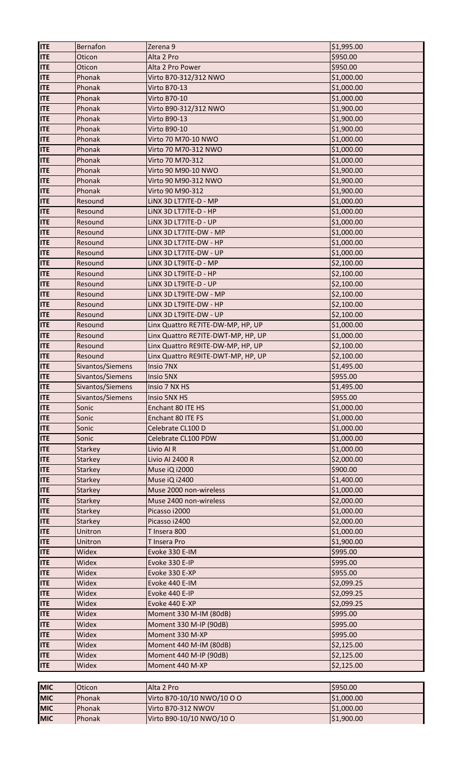| <b>ITE</b> | Bernafon         | Zerena 9                           | \$1,995.00 |
|------------|------------------|------------------------------------|------------|
| <b>ITE</b> | Oticon           | Alta 2 Pro                         | \$950.00   |
| <b>ITE</b> | Oticon           | Alta 2 Pro Power                   | \$950.00   |
| <b>ITE</b> | Phonak           | Virto B70-312/312 NWO              | \$1,000.00 |
| <b>ITE</b> | Phonak           | Virto B70-13                       | \$1,000.00 |
| <b>ITE</b> | Phonak           | Virto B70-10                       | \$1,000.00 |
| <b>ITE</b> | Phonak           | Virto B90-312/312 NWO              | \$1,900.00 |
| <b>ITE</b> | Phonak           | <b>Virto B90-13</b>                | \$1,900.00 |
| <b>ITE</b> | Phonak           | Virto B90-10                       | \$1,900.00 |
| <b>ITE</b> | Phonak           | Virto 70 M70-10 NWO                | \$1,000.00 |
| <b>ITE</b> | Phonak           | Virto 70 M70-312 NWO               | \$1,000.00 |
| <b>ITE</b> | Phonak           | Virto 70 M70-312                   | \$1,000.00 |
| <b>ITE</b> | Phonak           | Virto 90 M90-10 NWO                | \$1,900.00 |
| <b>ITE</b> | Phonak           | Virto 90 M90-312 NWO               | \$1,900.00 |
| <b>ITE</b> | Phonak           | Virto 90 M90-312                   | \$1,900.00 |
| <b>ITE</b> | Resound          | LINX 3D LT7ITE-D - MP              | \$1,000.00 |
| <b>ITE</b> | Resound          | LINX 3D LT7ITE-D - HP              | \$1,000.00 |
| <b>ITE</b> | Resound          | LINX 3D LT7ITE-D - UP              | \$1,000.00 |
| <b>ITE</b> | Resound          | LINX 3D LT7ITE-DW - MP             | \$1,000.00 |
| <b>ITE</b> | Resound          | LINX 3D LT7ITE-DW - HP             | \$1,000.00 |
| <b>ITE</b> | Resound          | LINX 3D LT7ITE-DW - UP             | \$1,000.00 |
| <b>ITE</b> | Resound          | LINX 3D LT9ITE-D - MP              | \$2,100.00 |
| <b>ITE</b> | Resound          | LINX 3D LT9ITE-D - HP              | \$2,100.00 |
| <b>ITE</b> | Resound          | LINX 3D LT9ITE-D - UP              | \$2,100.00 |
| <b>ITE</b> | Resound          | LINX 3D LT9ITE-DW - MP             | \$2,100.00 |
| <b>ITE</b> | Resound          | LINX 3D LT9ITE-DW - HP             | \$2,100.00 |
| <b>ITE</b> | Resound          | LINX 3D LT9ITE-DW - UP             | \$2,100.00 |
| <b>ITE</b> | Resound          | Linx Quattro RE7ITE-DW-MP, HP, UP  | \$1,000.00 |
| <b>ITE</b> | Resound          | Linx Quattro RE7ITE-DWT-MP, HP, UP | \$1,000.00 |
| <b>ITE</b> | Resound          | Linx Quattro RE9ITE-DW-MP, HP, UP  | \$2,100.00 |
| <b>ITE</b> | Resound          | Linx Quattro RE9ITE-DWT-MP, HP, UP | \$2,100.00 |
|            |                  |                                    |            |
| <b>ITE</b> | Sivantos/Siemens | Insio 7NX                          | \$1,495.00 |
| <b>ITE</b> | Sivantos/Siemens | Insio 5NX                          | \$955.00   |
| <b>ITE</b> | Sivantos/Siemens | Insio 7 NX HS                      | \$1,495.00 |
| <b>ITE</b> | Sivantos/Siemens | Insio 5NX HS                       | \$955.00   |
| <b>ITE</b> | Sonic            | Enchant 80 ITE HS                  | \$1,000.00 |
| <b>ITE</b> | Sonic            | Enchant 80 ITE FS                  | \$1,000.00 |
| <b>ITE</b> | Sonic            | Celebrate CL100 D                  | \$1,000.00 |
| <b>ITE</b> | Sonic            | Celebrate CL100 PDW                | \$1,000.00 |
| <b>ITE</b> | Starkey          | Livio Al R                         | \$1,000.00 |
| <b>ITE</b> | <b>Starkey</b>   | Livio AI 2400 R                    | \$2,000.00 |
| <b>ITE</b> | <b>Starkey</b>   | Muse iQ i2000                      | \$900.00   |
| <b>ITE</b> | Starkey          | Muse iQ i2400                      | \$1,400.00 |
| <b>ITE</b> | <b>Starkey</b>   | Muse 2000 non-wireless             | \$1,000.00 |
| <b>ITE</b> | <b>Starkey</b>   | Muse 2400 non-wireless             | \$2,000.00 |
| <b>ITE</b> | <b>Starkey</b>   | Picasso i2000                      | \$1,000.00 |
| <b>ITE</b> | <b>Starkey</b>   | Picasso i2400                      | \$2,000.00 |
| <b>ITE</b> | Unitron          | T Insera 800                       | \$1,000.00 |
| <b>ITE</b> | Unitron          | T Insera Pro                       | \$1,900.00 |
| <b>ITE</b> | Widex            | Evoke 330 E-IM                     | \$995.00   |
| <b>ITE</b> | Widex            | Evoke 330 E-IP                     | \$995.00   |
| <b>ITE</b> | Widex            | Evoke 330 E-XP                     | \$955.00   |
| <b>ITE</b> | Widex            | Evoke 440 E-IM                     | \$2,099.25 |
| <b>ITE</b> | Widex            | Evoke 440 E-IP                     | \$2,099.25 |
| <b>ITE</b> | Widex            | Evoke 440 E-XP                     | \$2,099.25 |
| <b>ITE</b> | Widex            | Moment 330 M-IM (80dB)             | \$995.00   |
| <b>ITE</b> | Widex            | Moment 330 M-IP (90dB)             | \$995.00   |
| <b>ITE</b> | Widex            | Moment 330 M-XP                    | \$995.00   |
| <b>ITE</b> | Widex            | Moment 440 M-IM (80dB)             | \$2,125.00 |
| <b>ITE</b> | Widex            | Moment 440 M-IP (90dB)             | \$2,125.00 |
| <b>ITE</b> | Widex            | Moment 440 M-XP                    | \$2,125.00 |

| <b>MIC</b> | <b>Oticon</b>  | <b>IAlta 2 Pro</b>         | S950.00    |
|------------|----------------|----------------------------|------------|
| <b>MIC</b> | <b>IPhonak</b> | Virto B70-10/10 NWO/10 O O | \$1,000.00 |
| <b>MIC</b> | <b>IPhonak</b> | Virto B70-312 NWOV         | \$1,000.00 |
| <b>MIC</b> | <b>IPhonak</b> | Virto B90-10/10 NWO/10 O   | \$1,900.00 |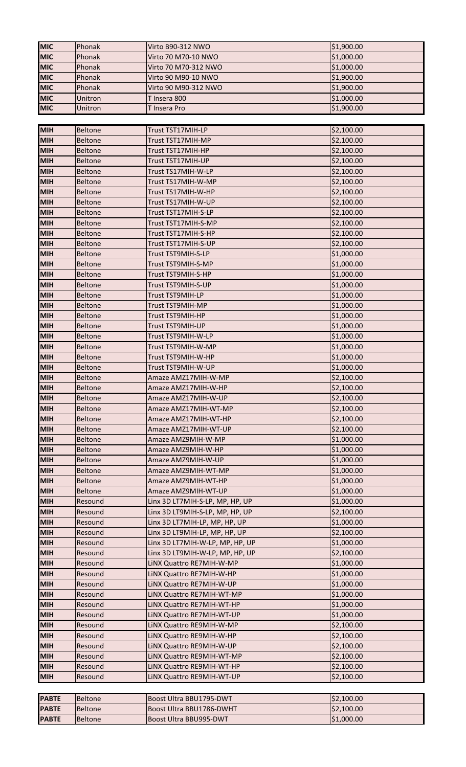| <b>MIC</b>   | Phonak         | Virto B90-312 NWO               | \$1,900.00 |
|--------------|----------------|---------------------------------|------------|
| <b>MIC</b>   | Phonak         | Virto 70 M70-10 NWO             | \$1,000.00 |
| <b>MIC</b>   | Phonak         | Virto 70 M70-312 NWO            | \$1,000.00 |
| <b>MIC</b>   | Phonak         | Virto 90 M90-10 NWO             | \$1,900.00 |
| <b>MIC</b>   | Phonak         | Virto 90 M90-312 NWO            | \$1,900.00 |
| <b>MIC</b>   | Unitron        | T Insera 800                    | \$1,000.00 |
| <b>MIC</b>   | Unitron        | T Insera Pro                    | \$1,900.00 |
|              |                |                                 |            |
| <b>MIH</b>   | <b>Beltone</b> | Trust TST17MIH-LP               | \$2,100.00 |
| <b>MIH</b>   | <b>Beltone</b> | Trust TST17MIH-MP               | \$2,100.00 |
| <b>MIH</b>   | <b>Beltone</b> | Trust TST17MIH-HP               | \$2,100.00 |
| <b>MIH</b>   | <b>Beltone</b> | Trust TST17MIH-UP               | \$2,100.00 |
| <b>MIH</b>   | <b>Beltone</b> | Trust TS17MIH-W-LP              | \$2,100.00 |
| <b>MIH</b>   | <b>Beltone</b> | Trust TS17MIH-W-MP              | \$2,100.00 |
| <b>MIH</b>   | <b>Beltone</b> | Trust TS17MIH-W-HP              | \$2,100.00 |
| <b>MIH</b>   | <b>Beltone</b> | Trust TS17MIH-W-UP              | \$2,100.00 |
| <b>MIH</b>   | <b>Beltone</b> | Trust TST17MIH-S-LP             | \$2,100.00 |
| <b>MIH</b>   | <b>Beltone</b> | Trust TST17MIH-S-MP             | \$2,100.00 |
| <b>MIH</b>   | <b>Beltone</b> | Trust TST17MIH-S-HP             | \$2,100.00 |
| <b>MIH</b>   | <b>Beltone</b> | Trust TST17MIH-S-UP             | \$2,100.00 |
| <b>MIH</b>   | <b>Beltone</b> | Trust TST9MIH-S-LP              | \$1,000.00 |
| <b>MIH</b>   | <b>Beltone</b> | Trust TST9MIH-S-MP              |            |
| <b>MIH</b>   |                |                                 | \$1,000.00 |
| <b>MIH</b>   | <b>Beltone</b> | Trust TST9MIH-S-HP              | \$1,000.00 |
| <b>MIH</b>   | <b>Beltone</b> | Trust TST9MIH-S-UP              | \$1,000.00 |
|              | <b>Beltone</b> | Trust TST9MIH-LP                | \$1,000.00 |
| <b>MIH</b>   | <b>Beltone</b> | Trust TST9MIH-MP                | \$1,000.00 |
| <b>MIH</b>   | <b>Beltone</b> | Trust TST9MIH-HP                | \$1,000.00 |
| <b>MIH</b>   | <b>Beltone</b> | Trust TST9MIH-UP                | \$1,000.00 |
| <b>MIH</b>   | <b>Beltone</b> | Trust TST9MIH-W-LP              | \$1,000.00 |
| <b>MIH</b>   | <b>Beltone</b> | Trust TST9MIH-W-MP              | \$1,000.00 |
| <b>MIH</b>   | <b>Beltone</b> | Trust TST9MIH-W-HP              | \$1,000.00 |
| <b>MIH</b>   | <b>Beltone</b> | Trust TST9MIH-W-UP              | \$1,000.00 |
| <b>MIH</b>   | <b>Beltone</b> | Amaze AMZ17MIH-W-MP             | \$2,100.00 |
| <b>MIH</b>   | <b>Beltone</b> | Amaze AMZ17MIH-W-HP             | \$2,100.00 |
| <b>MIH</b>   | <b>Beltone</b> | Amaze AMZ17MIH-W-UP             | \$2,100.00 |
| <b>MIH</b>   | <b>Beltone</b> | Amaze AMZ17MIH-WT-MP            | \$2,100.00 |
| <b>MIH</b>   | <b>Beltone</b> | Amaze AMZ17MIH-WT-HP            | \$2,100.00 |
| <b>MIH</b>   | <b>Beltone</b> | Amaze AMZ17MIH-WT-UP            | \$2,100.00 |
| <b>MIH</b>   | <b>Beltone</b> | Amaze AMZ9MIH-W-MP              | \$1,000.00 |
| <b>MIH</b>   | <b>Beltone</b> | Amaze AMZ9MIH-W-HP              | \$1,000.00 |
| <b>MIH</b>   | <b>Beltone</b> | Amaze AMZ9MIH-W-UP              | \$1,000.00 |
| <b>MIH</b>   | <b>Beltone</b> | Amaze AMZ9MIH-WT-MP             | \$1,000.00 |
| <b>MIH</b>   | <b>Beltone</b> | Amaze AMZ9MIH-WT-HP             | \$1,000.00 |
| <b>MIH</b>   | <b>Beltone</b> | Amaze AMZ9MIH-WT-UP             | \$1,000.00 |
| <b>MIH</b>   | Resound        | Linx 3D LT7MIH-S-LP, MP, HP, UP | \$1,000.00 |
| <b>MIH</b>   | Resound        | Linx 3D LT9MIH-S-LP, MP, HP, UP | \$2,100.00 |
| <b>MIH</b>   | Resound        | Linx 3D LT7MIH-LP, MP, HP, UP   | \$1,000.00 |
| <b>MIH</b>   | Resound        | Linx 3D LT9MIH-LP, MP, HP, UP   | \$2,100.00 |
| <b>MIH</b>   | Resound        | Linx 3D LT7MIH-W-LP, MP, HP, UP | \$1,000.00 |
| <b>MIH</b>   | Resound        | Linx 3D LT9MIH-W-LP, MP, HP, UP | \$2,100.00 |
| <b>MIH</b>   | Resound        | LINX Quattro RE7MIH-W-MP        | \$1,000.00 |
| <b>MIH</b>   | Resound        | LINX Quattro RE7MIH-W-HP        | \$1,000.00 |
| <b>MIH</b>   | Resound        | LINX Quattro RE7MIH-W-UP        | \$1,000.00 |
| <b>MIH</b>   | Resound        | LINX Quattro RE7MIH-WT-MP       | \$1,000.00 |
| <b>MIH</b>   | Resound        | LINX Quattro RE7MIH-WT-HP       | \$1,000.00 |
| <b>MIH</b>   | Resound        | LINX Quattro RE7MIH-WT-UP       | \$1,000.00 |
| <b>MIH</b>   | Resound        | LINX Quattro RE9MIH-W-MP        | \$2,100.00 |
| <b>MIH</b>   | Resound        | LINX Quattro RE9MIH-W-HP        | \$2,100.00 |
| <b>MIH</b>   | Resound        | LINX Quattro RE9MIH-W-UP        | \$2,100.00 |
| <b>MIH</b>   | Resound        | LINX Quattro RE9MIH-WT-MP       | \$2,100.00 |
| <b>MIH</b>   | Resound        | LINX Quattro RE9MIH-WT-HP       | \$2,100.00 |
| <b>MIH</b>   | Resound        | LINX Quattro RE9MIH-WT-UP       | \$2,100.00 |
|              |                |                                 |            |
| <b>PABTE</b> | <b>Beltone</b> | Boost Ultra BBU1795-DWT         | \$2,100.00 |
| <b>PABTE</b> | <b>Beltone</b> | Boost Ultra BBU1786-DWHT        | \$2,100.00 |
| <b>PABTE</b> | <b>Beltone</b> | Boost Ultra BBU995-DWT          | \$1,000.00 |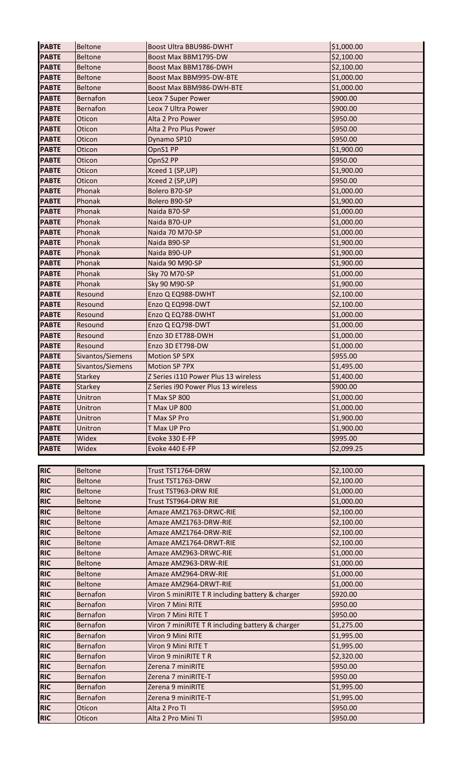| <b>PABTE</b>             | <b>Beltone</b>   | Boost Ultra BBU986-DWHT                          | \$1,000.00 |
|--------------------------|------------------|--------------------------------------------------|------------|
| <b>PABTE</b>             | <b>Beltone</b>   | Boost Max BBM1795-DW                             | \$2,100.00 |
| <b>PABTE</b>             | <b>Beltone</b>   | Boost Max BBM1786-DWH                            | \$2,100.00 |
| <b>PABTE</b>             | Beltone          | Boost Max BBM995-DW-BTE                          | \$1,000.00 |
| <b>PABTE</b>             | <b>Beltone</b>   | Boost Max BBM986-DWH-BTE                         | \$1,000.00 |
| <b>PABTE</b>             | Bernafon         | Leox 7 Super Power                               | \$900.00   |
| <b>PABTE</b>             | Bernafon         | Leox 7 Ultra Power                               | \$900.00   |
| <b>PABTE</b>             | Oticon           | Alta 2 Pro Power                                 | \$950.00   |
| <b>PABTE</b>             | Oticon           | Alta 2 Pro Plus Power                            | \$950.00   |
| <b>PABTE</b>             | Oticon           | Dynamo SP10                                      | \$950.00   |
| <b>PABTE</b>             | Oticon           | OpnS1 PP                                         | \$1,900.00 |
| <b>PABTE</b>             | Oticon           | OpnS2 PP                                         | \$950.00   |
| <b>PABTE</b>             | Oticon           | Xceed 1 (SP, UP)                                 | \$1,900.00 |
| <b>PABTE</b>             | Oticon           | Xceed 2 (SP, UP)                                 | \$950.00   |
| <b>PABTE</b>             | Phonak           | Bolero B70-SP                                    | \$1,000.00 |
| <b>PABTE</b>             | Phonak           | Bolero B90-SP                                    | \$1,900.00 |
| <b>PABTE</b>             | Phonak           | Naida B70-SP                                     | \$1,000.00 |
| <b>PABTE</b>             | Phonak           | Naida B70-UP                                     | \$1,000.00 |
| <b>PABTE</b>             | Phonak           | Naida 70 M70-SP                                  | \$1,000.00 |
| <b>PABTE</b>             | Phonak           | Naida B90-SP                                     | \$1,900.00 |
| <b>PABTE</b>             | Phonak           | Naida B90-UP                                     | \$1,900.00 |
| <b>PABTE</b>             | Phonak           | Naida 90 M90-SP                                  | \$1,900.00 |
| <b>PABTE</b>             | Phonak           | <b>Sky 70 M70-SP</b>                             | \$1,000.00 |
| <b>PABTE</b>             | Phonak           | <b>Sky 90 M90-SP</b>                             | \$1,900.00 |
| <b>PABTE</b>             | Resound          | Enzo Q EQ988-DWHT                                | \$2,100.00 |
| <b>PABTE</b>             | Resound          | Enzo Q EQ998-DWT                                 | \$2,100.00 |
| <b>PABTE</b>             | Resound          | Enzo Q EQ788-DWHT                                | \$1,000.00 |
| <b>PABTE</b>             | Resound          | Enzo Q EQ798-DWT                                 | \$1,000.00 |
| <b>PABTE</b>             | Resound          | Enzo 3D ET788-DWH                                | \$1,000.00 |
| <b>PABTE</b>             | Resound          | Enzo 3D ET798-DW                                 | \$1,000.00 |
| <b>PABTE</b>             | Sivantos/Siemens | Motion SP 5PX                                    | \$955.00   |
| <b>PABTE</b>             | Sivantos/Siemens | Motion SP 7PX                                    | \$1,495.00 |
| <b>PABTE</b>             | <b>Starkey</b>   | Z Series i110 Power Plus 13 wireless             | \$1,400.00 |
| <b>PABTE</b>             | <b>Starkey</b>   | Z Series i90 Power Plus 13 wireless              | \$900.00   |
| <b>PABTE</b>             | Unitron          | T Max SP 800                                     | \$1,000.00 |
| <b>PABTE</b>             | Unitron          | <b>T Max UP 800</b>                              | \$1,000.00 |
| <b>PABTE</b>             | Unitron          | T Max SP Pro                                     | \$1,900.00 |
| <b>PABTE</b>             | Unitron          | T Max UP Pro                                     | \$1,900.00 |
|                          |                  |                                                  |            |
|                          |                  |                                                  |            |
| <b>PABTE</b>             | Widex            | Evoke 330 E-FP                                   | \$995.00   |
| <b>PABTE</b>             | Widex            | Evoke 440 E-FP                                   | \$2,099.25 |
|                          |                  |                                                  |            |
| <b>RIC</b>               | <b>Beltone</b>   | Trust TST1764-DRW                                | \$2,100.00 |
| <b>RIC</b>               | <b>Beltone</b>   | Trust TST1763-DRW                                | \$2,100.00 |
| <b>RIC</b>               | Beltone          | Trust TST963-DRW RIE                             | \$1,000.00 |
| <b>RIC</b>               | <b>Beltone</b>   | Trust TST964-DRW RIE                             | \$1,000.00 |
| <b>RIC</b>               | Beltone          | Amaze AMZ1763-DRWC-RIE                           | \$2,100.00 |
| <b>RIC</b>               | <b>Beltone</b>   | Amaze AMZ1763-DRW-RIE                            | \$2,100.00 |
| <b>RIC</b>               | <b>Beltone</b>   | Amaze AMZ1764-DRW-RIE                            | \$2,100.00 |
| <b>RIC</b>               | <b>Beltone</b>   | Amaze AMZ1764-DRWT-RIE                           | \$2,100.00 |
| <b>RIC</b>               | <b>Beltone</b>   | Amaze AMZ963-DRWC-RIE                            | \$1,000.00 |
| <b>RIC</b>               | <b>Beltone</b>   | Amaze AMZ963-DRW-RIE                             | \$1,000.00 |
| <b>RIC</b>               | <b>Beltone</b>   | Amaze AMZ964-DRW-RIE                             | \$1,000.00 |
| <b>RIC</b>               | <b>Beltone</b>   | Amaze AMZ964-DRWT-RIE                            | \$1,000.00 |
| <b>RIC</b>               | Bernafon         | Viron 5 miniRITE T R including battery & charger | \$920.00   |
| <b>RIC</b>               | Bernafon         | Viron 7 Mini RITE                                | \$950.00   |
| <b>RIC</b>               | Bernafon         | Viron 7 Mini RITE T                              | \$950.00   |
| <b>RIC</b>               | <b>Bernafon</b>  | Viron 7 miniRITE T R including battery & charger | \$1,275.00 |
| <b>RIC</b>               | Bernafon         | Viron 9 Mini RITE                                | \$1,995.00 |
| <b>RIC</b>               | Bernafon         | Viron 9 Mini RITE T                              | \$1,995.00 |
| <b>RIC</b>               | Bernafon         | Viron 9 miniRITE TR                              | \$2,320.00 |
| <b>RIC</b>               | Bernafon         | Zerena 7 miniRITE                                | \$950.00   |
| <b>RIC</b>               | Bernafon         | Zerena 7 miniRITE-T                              | \$950.00   |
| <b>RIC</b>               | <b>Bernafon</b>  | Zerena 9 miniRITE                                | \$1,995.00 |
| <b>RIC</b>               | Bernafon         | Zerena 9 miniRITE-T                              | \$1,995.00 |
| <b>RIC</b><br><b>RIC</b> | Oticon           | Alta 2 Pro TI                                    | \$950.00   |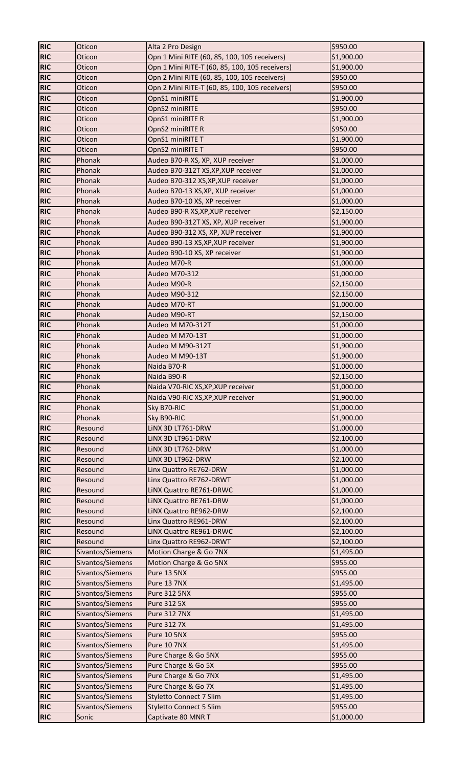| <b>RIC</b> | Oticon           | Alta 2 Pro Design                              | \$950.00   |
|------------|------------------|------------------------------------------------|------------|
| <b>RIC</b> | Oticon           | Opn 1 Mini RITE (60, 85, 100, 105 receivers)   | \$1,900.00 |
| <b>RIC</b> | Oticon           | Opn 1 Mini RITE-T (60, 85, 100, 105 receivers) | \$1,900.00 |
| <b>RIC</b> | Oticon           | Opn 2 Mini RITE (60, 85, 100, 105 receivers)   | \$950.00   |
| <b>RIC</b> | Oticon           | Opn 2 Mini RITE-T (60, 85, 100, 105 receivers) | \$950.00   |
| <b>RIC</b> | Oticon           | OpnS1 miniRITE                                 | \$1,900.00 |
| <b>RIC</b> | Oticon           | OpnS2 miniRITE                                 | \$950.00   |
| <b>RIC</b> | Oticon           | OpnS1 miniRITE R                               | \$1,900.00 |
| <b>RIC</b> | Oticon           | OpnS2 miniRITE R                               | \$950.00   |
| <b>RIC</b> | Oticon           | OpnS1 miniRITE T                               | \$1,900.00 |
| <b>RIC</b> | Oticon           | OpnS2 miniRITE T                               | \$950.00   |
| <b>RIC</b> | Phonak           | Audeo B70-R XS, XP, XUP receiver               | \$1,000.00 |
| <b>RIC</b> | Phonak           | Audeo B70-312T XS, XP, XUP receiver            | \$1,000.00 |
| <b>RIC</b> | Phonak           | Audeo B70-312 XS, XP, XUP receiver             | \$1,000.00 |
| <b>RIC</b> | Phonak           | Audeo B70-13 XS, XP, XUP receiver              | \$1,000.00 |
| <b>RIC</b> | Phonak           | Audeo B70-10 XS, XP receiver                   | \$1,000.00 |
| <b>RIC</b> | Phonak           | Audeo B90-R XS, XP, XUP receiver               | \$2,150.00 |
| <b>RIC</b> | Phonak           | Audeo B90-312T XS, XP, XUP receiver            | \$1,900.00 |
| <b>RIC</b> | Phonak           | Audeo B90-312 XS, XP, XUP receiver             | \$1,900.00 |
| <b>RIC</b> | Phonak           | Audeo B90-13 XS, XP, XUP receiver              | \$1,900.00 |
| <b>RIC</b> | Phonak           | Audeo B90-10 XS, XP receiver                   | \$1,900.00 |
| <b>RIC</b> | Phonak           | Audeo M70-R                                    | \$1,000.00 |
| <b>RIC</b> | Phonak           | Audeo M70-312                                  | \$1,000.00 |
| <b>RIC</b> | Phonak           | Audeo M90-R                                    |            |
| <b>RIC</b> | Phonak           |                                                | \$2,150.00 |
| <b>RIC</b> | Phonak           | Audeo M90-312                                  | \$2,150.00 |
|            |                  | Audeo M70-RT                                   | \$1,000.00 |
| <b>RIC</b> | Phonak           | Audeo M90-RT                                   | \$2,150.00 |
| <b>RIC</b> | Phonak           | Audeo M M70-312T                               | \$1,000.00 |
| <b>RIC</b> | Phonak           | Audeo M M70-13T                                | \$1,000.00 |
| <b>RIC</b> | Phonak           | Audeo M M90-312T                               | \$1,900.00 |
| <b>RIC</b> | Phonak           | Audeo M M90-13T                                | \$1,900.00 |
| <b>RIC</b> | Phonak           | Naida B70-R                                    | \$1,000.00 |
| <b>RIC</b> | Phonak           | Naida B90-R                                    | \$2,150.00 |
|            |                  |                                                |            |
| <b>RIC</b> | Phonak           | Naida V70-RIC XS, XP, XUP receiver             | \$1,000.00 |
| <b>RIC</b> | Phonak           | Naida V90-RIC XS, XP, XUP receiver             | \$1,900.00 |
| <b>RIC</b> | Phonak           | Sky B70-RIC                                    | \$1,000.00 |
| <b>RIC</b> | Phonak           | Sky B90-RIC                                    | \$1,900.00 |
| <b>RIC</b> | Resound          | LINX 3D LT761-DRW                              | \$1,000.00 |
| <b>RIC</b> | Resound          | LINX 3D LT961-DRW                              | \$2,100.00 |
| <b>RIC</b> | Resound          | LINX 3D LT762-DRW                              | \$1,000.00 |
| <b>RIC</b> | Resound          | LINX 3D LT962-DRW                              | \$2,100.00 |
| <b>RIC</b> | Resound          | Linx Quattro RE762-DRW                         | \$1,000.00 |
| <b>RIC</b> | Resound          | Linx Quattro RE762-DRWT                        | \$1,000.00 |
| <b>RIC</b> | Resound          | LINX Quattro RE761-DRWC                        | \$1,000.00 |
| <b>RIC</b> | Resound          | LINX Quattro RE761-DRW                         | \$1,000.00 |
| <b>RIC</b> | Resound          | LINX Quattro RE962-DRW                         | \$2,100.00 |
| <b>RIC</b> | Resound          | Linx Quattro RE961-DRW                         | \$2,100.00 |
| <b>RIC</b> | Resound          | LINX Quattro RE961-DRWC                        | \$2,100.00 |
| <b>RIC</b> | Resound          | Linx Quattro RE962-DRWT                        | \$2,100.00 |
| <b>RIC</b> | Sivantos/Siemens | Motion Charge & Go 7NX                         | \$1,495.00 |
| <b>RIC</b> | Sivantos/Siemens | Motion Charge & Go 5NX                         | \$955.00   |
| <b>RIC</b> | Sivantos/Siemens | Pure 13 5NX                                    | \$955.00   |
| <b>RIC</b> | Sivantos/Siemens | Pure 13 7NX                                    | \$1,495.00 |
| <b>RIC</b> | Sivantos/Siemens | Pure 312 5NX                                   | \$955.00   |
| <b>RIC</b> | Sivantos/Siemens | Pure 312 5X                                    | \$955.00   |
| <b>RIC</b> | Sivantos/Siemens | Pure 312 7NX                                   | \$1,495.00 |
| <b>RIC</b> | Sivantos/Siemens | Pure 312 7X                                    | \$1,495.00 |
| <b>RIC</b> | Sivantos/Siemens | Pure 10 5NX                                    | \$955.00   |
| <b>RIC</b> | Sivantos/Siemens | Pure 10 7NX                                    | \$1,495.00 |
| <b>RIC</b> | Sivantos/Siemens | Pure Charge & Go 5NX                           | \$955.00   |
| <b>RIC</b> | Sivantos/Siemens | Pure Charge & Go 5X                            | \$955.00   |
| <b>RIC</b> | Sivantos/Siemens | Pure Charge & Go 7NX                           | \$1,495.00 |
| <b>RIC</b> | Sivantos/Siemens | Pure Charge & Go 7X                            | \$1,495.00 |
| <b>RIC</b> | Sivantos/Siemens | <b>Styletto Connect 7 Slim</b>                 | \$1,495.00 |
| <b>RIC</b> | Sivantos/Siemens | <b>Styletto Connect 5 Slim</b>                 | \$955.00   |